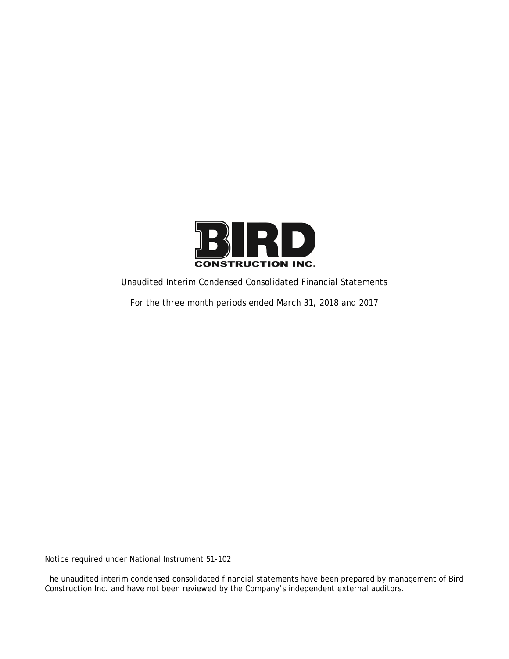

Unaudited Interim Condensed Consolidated Financial Statements

For the three month periods ended March 31, 2018 and 2017

Notice required under National Instrument 51-102

The unaudited interim condensed consolidated financial statements have been prepared by management of Bird Construction Inc. and have not been reviewed by the Company's independent external auditors.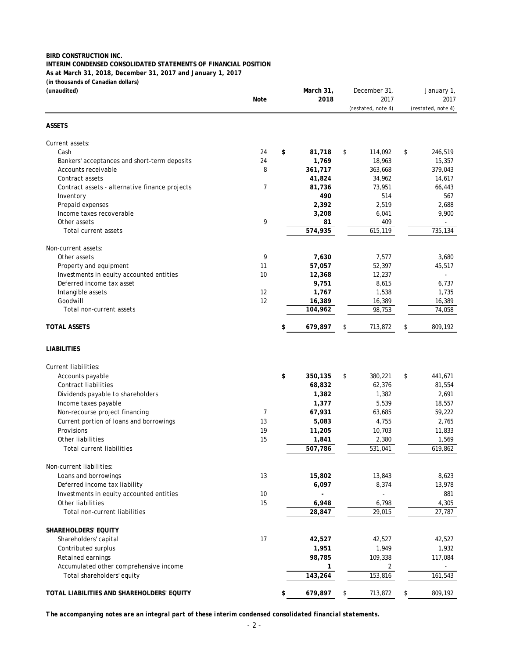## **BIRD CONSTRUCTION INC. INTERIM CONDENSED CONSOLIDATED STATEMENTS OF FINANCIAL POSITION As at March 31, 2018, December 31, 2017 and January 1, 2017 (in thousands of Canadian dollars)**

| (unaudited)                                                          |                | March 31,     | December 31,       | January 1,         |
|----------------------------------------------------------------------|----------------|---------------|--------------------|--------------------|
|                                                                      | Note           | 2018          | 2017               | 2017               |
|                                                                      |                |               | (restated, note 4) | (restated, note 4) |
| <b>ASSETS</b>                                                        |                |               |                    |                    |
| Current assets:                                                      |                |               |                    |                    |
| Cash                                                                 | 24             | \$<br>81,718  | \$<br>114,092      | \$<br>246,519      |
| Bankers' acceptances and short-term deposits                         | 24             | 1,769         | 18,963             | 15,357             |
| Accounts receivable                                                  | 8              | 361,717       | 363,668            | 379,043            |
| Contract assets                                                      |                | 41,824        | 34,962             | 14,617             |
| Contract assets - alternative finance projects                       | $\overline{7}$ | 81,736        | 73,951             | 66,443             |
| Inventory                                                            |                | 490           | 514                | 567                |
| Prepaid expenses                                                     |                | 2,392         | 2,519              | 2,688              |
| Income taxes recoverable                                             |                | 3,208         | 6,041              | 9,900              |
| Other assets                                                         | 9              | 81            | 409                |                    |
| Total current assets                                                 |                | 574,935       | 615,119            | 735,134            |
| Non-current assets:                                                  |                |               |                    |                    |
| Other assets                                                         | 9              | 7,630         | 7,577              | 3,680              |
| Property and equipment                                               | 11             | 57,057        | 52,397             | 45,517             |
| Investments in equity accounted entities                             | 10             | 12,368        | 12,237             |                    |
| Deferred income tax asset                                            |                | 9,751         | 8,615              | 6,737              |
| Intangible assets                                                    | 12             | 1,767         | 1,538              | 1,735              |
| Goodwill                                                             | 12             | 16,389        | 16,389             | 16,389             |
| Total non-current assets                                             |                | 104,962       | 98,753             | 74,058             |
| <b>TOTAL ASSETS</b>                                                  |                | \$<br>679,897 | \$<br>713,872      | \$<br>809,192      |
| <b>LIABILITIES</b>                                                   |                |               |                    |                    |
| Current liabilities:                                                 |                |               |                    |                    |
| Accounts payable                                                     |                | \$<br>350,135 | \$<br>380,221      | \$<br>441,671      |
| <b>Contract liabilities</b>                                          |                | 68,832        | 62,376             | 81,554             |
| Dividends payable to shareholders                                    |                | 1,382         | 1,382              | 2,691              |
| Income taxes payable                                                 |                | 1,377         | 5,539              | 18,557             |
| Non-recourse project financing                                       | $\overline{7}$ | 67,931        | 63,685             | 59,222             |
| Current portion of loans and borrowings                              | 13             | 5,083         | 4,755              | 2,765              |
| Provisions                                                           | 19             | 11,205        | 10,703             | 11,833             |
| Other liabilities                                                    | 15             | 1,841         | 2,380              | 1,569              |
| <b>Total current liabilities</b>                                     |                | 507,786       | 531,041            | 619,862            |
| Non-current liabilities:                                             |                |               |                    |                    |
| Loans and borrowings                                                 | 13             | 15,802        | 13,843             | 8,623              |
| Deferred income tax liability                                        |                | 6,097         | 8,374              | 13,978             |
| Investments in equity accounted entities                             | 10             |               |                    | 881                |
| Other liabilities                                                    | 15             | 6,948         | 6,798              | 4,305              |
| Total non-current liabilities                                        |                | 28,847        | 29,015             | 27,787             |
|                                                                      |                |               |                    |                    |
| SHAREHOLDERS' EQUITY                                                 |                |               |                    |                    |
| Shareholders' capital                                                | 17             | 42,527        | 42,527             | 42,527             |
| Contributed surplus                                                  |                | 1,951         | 1,949              | 1,932              |
| Retained earnings                                                    |                | 98,785        | 109,338            | 117,084            |
| Accumulated other comprehensive income<br>Total shareholders' equity |                | 1<br>143,264  | 2<br>153,816       | 161,543            |
|                                                                      |                |               |                    |                    |
| TOTAL LIABILITIES AND SHAREHOLDERS' EQUITY                           |                | \$<br>679,897 | \$<br>713,872      | \$<br>809,192      |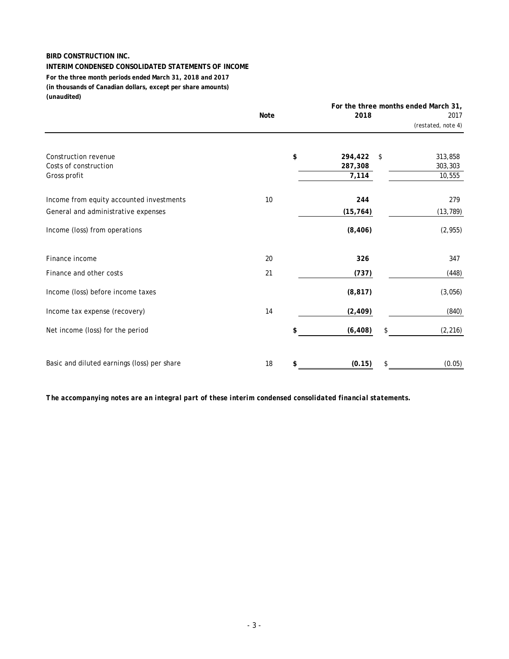#### **INTERIM CONDENSED CONSOLIDATED STATEMENTS OF INCOME**

**(in thousands of Canadian dollars, except per share amounts) (unaudited) For the three month periods ended March 31, 2018 and 2017**

|                                                                                 | <b>Note</b> | 2018                              |      | For the three months ended March 31,<br>2017<br>(restated, note 4) |
|---------------------------------------------------------------------------------|-------------|-----------------------------------|------|--------------------------------------------------------------------|
| Construction revenue<br>Costs of construction<br>Gross profit                   |             | \$<br>294,422<br>287,308<br>7,114 | - \$ | 313,858<br>303,303<br>10,555                                       |
| Income from equity accounted investments<br>General and administrative expenses | 10          | 244<br>(15, 764)                  |      | 279<br>(13, 789)                                                   |
| Income (loss) from operations                                                   |             | (8, 406)                          |      | (2, 955)                                                           |
| Finance income                                                                  | 20          | 326                               |      | 347                                                                |
| Finance and other costs                                                         | 21          | (737)                             |      | (448)                                                              |
| Income (loss) before income taxes                                               |             | (8, 817)                          |      | (3,056)                                                            |
| Income tax expense (recovery)                                                   | 14          | (2, 409)                          |      | (840)                                                              |
| Net income (loss) for the period                                                |             | \$<br>(6, 408)                    |      | (2, 216)                                                           |
| Basic and diluted earnings (loss) per share                                     | 18          | \$<br>(0.15)                      |      | (0.05)                                                             |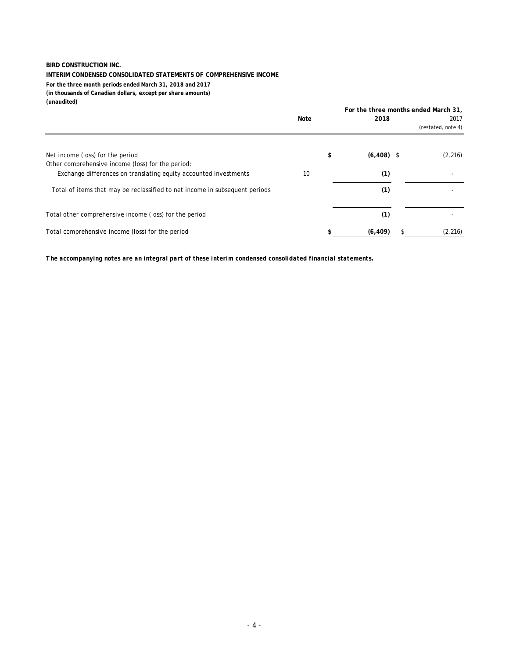#### **INTERIM CONDENSED CONSOLIDATED STATEMENTS OF COMPREHENSIVE INCOME**

**For the three month periods ended March 31, 2018 and 2017 (in thousands of Canadian dollars, except per share amounts) (unaudited)**

|                                                                             |      | For the three months ended March 31, |  |                    |  |
|-----------------------------------------------------------------------------|------|--------------------------------------|--|--------------------|--|
|                                                                             | Note | 2018                                 |  | 2017               |  |
|                                                                             |      |                                      |  | (restated, note 4) |  |
| Net income (loss) for the period                                            |      | \$<br>$(6,408)$ \$                   |  | (2, 216)           |  |
| Other comprehensive income (loss) for the period:                           |      |                                      |  |                    |  |
| Exchange differences on translating equity accounted investments            | 10   | (1)                                  |  |                    |  |
| Total of items that may be reclassified to net income in subsequent periods |      | (1)                                  |  |                    |  |
| Total other comprehensive income (loss) for the period                      |      | (1)                                  |  |                    |  |
| Total comprehensive income (loss) for the period                            |      | (6, 409)                             |  | (2, 216)           |  |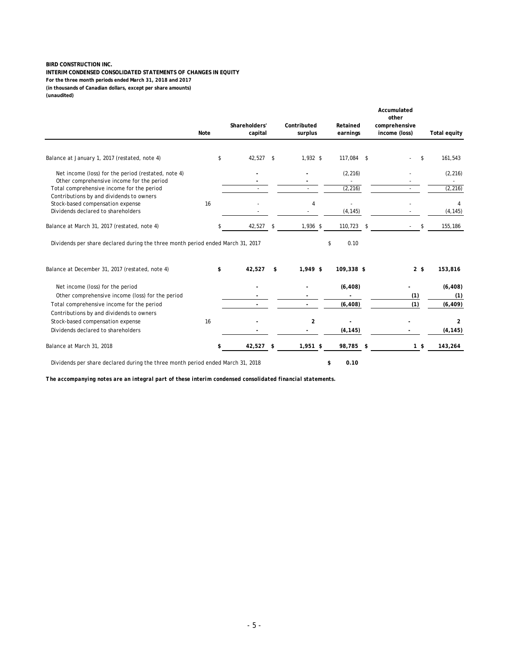**INTERIM CONDENSED CONSOLIDATED STATEMENTS OF CHANGES IN EQUITY (in thousands of Canadian dollars, except per share amounts) (unaudited) For the three month periods ended March 31, 2018 and 2017**

|                                                                                                                    | Note | Shareholders'<br>capital |     | Contributed<br>surplus | Retained<br>earnings | Accumulated<br>other<br>comprehensive<br>income (loss) | <b>Total equity</b> |
|--------------------------------------------------------------------------------------------------------------------|------|--------------------------|-----|------------------------|----------------------|--------------------------------------------------------|---------------------|
| Balance at January 1, 2017 (restated, note 4)                                                                      | \$   | $42,527$ \$              |     | $1,932$ \$             | 117,084 \$           | \$                                                     | 161,543             |
| Net income (loss) for the period (restated, note 4)                                                                |      |                          |     |                        | (2, 216)             |                                                        | (2, 216)            |
| Other comprehensive income for the period<br>Total comprehensive income for the period                             |      |                          |     |                        | (2, 216)             |                                                        | (2, 216)            |
| Contributions by and dividends to owners<br>Stock-based compensation expense<br>Dividends declared to shareholders | 16   |                          |     | 4                      | (4, 145)             |                                                        | (4, 145)            |
| Balance at March 31, 2017 (restated, note 4)                                                                       |      | 42,527                   | -\$ | 1,936 \$               | 110,723              | \$                                                     | 155,186             |
| Dividends per share declared during the three month period ended March 31, 2017                                    |      |                          |     |                        | 0.10<br>\$           |                                                        |                     |
| Balance at December 31, 2017 (restated, note 4)                                                                    | \$   | 42,527                   | \$  | $1,949$ \$             | 109,338 \$           | 2 <sup>5</sup>                                         | 153,816             |
| Net income (loss) for the period<br>Other comprehensive income (loss) for the period                               |      |                          |     |                        | (6, 408)             | (1)                                                    | (6, 408)<br>(1)     |
| Total comprehensive income for the period<br>Contributions by and dividends to owners                              |      |                          |     |                        | (6, 408)             | (1)                                                    | (6, 409)            |
| Stock-based compensation expense                                                                                   | 16   |                          |     | 2                      |                      |                                                        | 2                   |
| Dividends declared to shareholders                                                                                 |      |                          |     |                        | (4, 145)             |                                                        | (4, 145)            |
| Balance at March 31, 2018                                                                                          | \$   | 42,527                   | \$  | 1,951 \$               | 98,785               | \$<br>1 <sup>5</sup>                                   | 143,264             |
| Dividends per share declared during the three month period ended March 31, 2018                                    |      |                          |     |                        | \$<br>0.10           |                                                        |                     |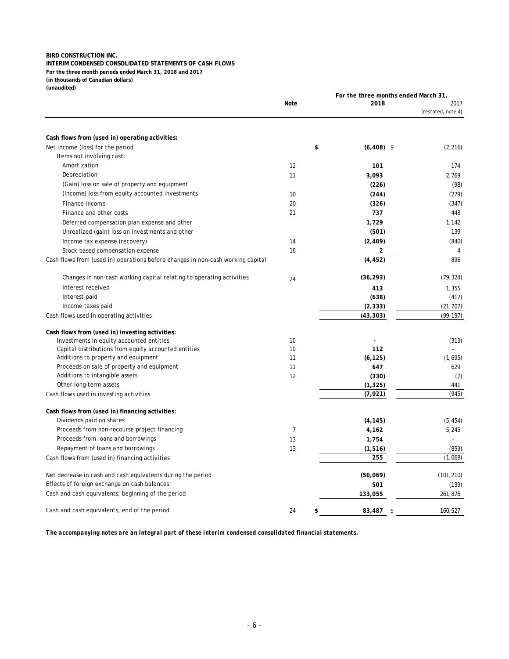#### **INTERIM CONDENSED CONSOLIDATED STATEMENTS OF CASH FLOWS**

**For the three month periods ended March 31, 2018 and 2017 (in thousands of Canadian dollars)**

**(unaudited)**

|                                                                                 |                | For the three months ended March 31, |                            |
|---------------------------------------------------------------------------------|----------------|--------------------------------------|----------------------------|
|                                                                                 | <b>Note</b>    | 2018                                 | 2017<br>(restated, note 4) |
|                                                                                 |                |                                      |                            |
| Cash flows from (used in) operating activities:                                 |                |                                      |                            |
| Net income (loss) for the period                                                | \$             | $(6, 408)$ \$                        | (2, 216)                   |
| Items not involving cash:                                                       |                |                                      |                            |
| Amortization                                                                    | 12             | 101                                  | 174                        |
| Depreciation                                                                    | 11             | 3,093                                | 2,769                      |
| (Gain) loss on sale of property and equipment                                   |                | (226)                                | (98)                       |
| (Income) loss from equity accounted investments                                 | 10             | (244)                                | (279)                      |
| Finance income                                                                  | 20             | (326)                                | (347)                      |
| Finance and other costs                                                         | 21             | 737                                  | 448                        |
| Deferred compensation plan expense and other                                    |                | 1,729                                | 1,142                      |
| Unrealized (gain) loss on investments and other                                 |                | (501)                                | 139                        |
| Income tax expense (recovery)                                                   | 14             | (2, 409)                             | (840)                      |
| Stock-based compensation expense                                                | 16             | 2                                    | 4                          |
| Cash flows from (used in) operations before changes in non-cash working capital |                | (4, 452)                             | 896                        |
| Changes in non-cash working capital relating to operating activities            | 24             | (36, 293)                            | (79, 324)                  |
| Interest received                                                               |                | 413                                  | 1,355                      |
| Interest paid                                                                   |                | (638)                                | (417)                      |
| Income taxes paid                                                               |                | (2, 333)                             | (21, 707)                  |
| Cash flows used in operating activities                                         |                | (43, 303)                            | (99, 197)                  |
| Cash flows from (used in) investing activities:                                 |                |                                      |                            |
| Investments in equity accounted entities                                        | 10             |                                      | (313)                      |
| Capital distributions from equity accounted entities                            | 10             | 112                                  |                            |
| Additions to property and equipment                                             | 11             | (6, 125)                             | (1,695)                    |
| Proceeds on sale of property and equipment                                      | 11             | 647                                  | 629                        |
| Additions to intangible assets                                                  | 12             | (330)                                | (7)                        |
| Other long-term assets                                                          |                | (1, 325)                             | 441                        |
| Cash flows used in investing activities                                         |                | (7,021)                              | (945)                      |
| Cash flows from (used in) financing activities:                                 |                |                                      |                            |
| Dividends paid on shares                                                        |                | (4, 145)                             | (5, 454)                   |
| Proceeds from non-recourse project financing                                    | $\overline{7}$ | 4,162                                | 5,245                      |
| Proceeds from loans and borrowings                                              | 13             | 1,754                                |                            |
| Repayment of loans and borrowings                                               | 13             | (1, 516)                             | (859)                      |
| Cash flows from (used in) financing activities                                  |                | 255                                  | (1,068)                    |
| Net decrease in cash and cash equivalents during the period                     |                | (50,069)                             | (101, 210)                 |
| Effects of foreign exchange on cash balances                                    |                | 501                                  | (139)                      |
| Cash and cash equivalents, beginning of the period                              |                | 133,055                              | 261,876                    |
| Cash and cash equivalents, end of the period                                    | \$<br>24       | 83,487<br>-\$                        | 160,527                    |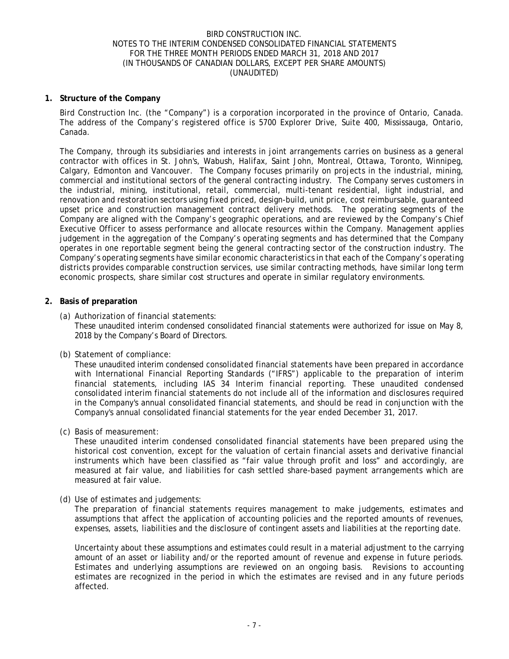### **1. Structure of the Company**

Bird Construction Inc. (the "Company") is a corporation incorporated in the province of Ontario, Canada. The address of the Company's registered office is 5700 Explorer Drive, Suite 400, Mississauga, Ontario, Canada.

The Company, through its subsidiaries and interests in joint arrangements carries on business as a general contractor with offices in St. John's, Wabush, Halifax, Saint John, Montreal, Ottawa, Toronto, Winnipeg, Calgary, Edmonton and Vancouver. The Company focuses primarily on projects in the industrial, mining, commercial and institutional sectors of the general contracting industry. The Company serves customers in the industrial, mining, institutional, retail, commercial, multi-tenant residential, light industrial, and renovation and restoration sectors using fixed priced, design-build, unit price, cost reimbursable, guaranteed upset price and construction management contract delivery methods. The operating segments of the Company are aligned with the Company's geographic operations, and are reviewed by the Company's Chief Executive Officer to assess performance and allocate resources within the Company. Management applies judgement in the aggregation of the Company's operating segments and has determined that the Company operates in one reportable segment being the general contracting sector of the construction industry. The Company's operating segments have similar economic characteristics in that each of the Company's operating districts provides comparable construction services, use similar contracting methods, have similar long term economic prospects, share similar cost structures and operate in similar regulatory environments.

### **2. Basis of preparation**

(a) Authorization of financial statements:

These unaudited interim condensed consolidated financial statements were authorized for issue on May 8, 2018 by the Company's Board of Directors.

(b) Statement of compliance:

These unaudited interim condensed consolidated financial statements have been prepared in accordance with International Financial Reporting Standards ("IFRS") applicable to the preparation of interim financial statements, including IAS 34 *Interim financial reporting*. These unaudited condensed consolidated interim financial statements do not include all of the information and disclosures required in the Company's annual consolidated financial statements, and should be read in conjunction with the Company's annual consolidated financial statements for the year ended December 31, 2017.

(c) Basis of measurement:

These unaudited interim condensed consolidated financial statements have been prepared using the historical cost convention, except for the valuation of certain financial assets and derivative financial instruments which have been classified as "fair value through profit and loss" and accordingly, are measured at fair value, and liabilities for cash settled share-based payment arrangements which are measured at fair value.

(d) Use of estimates and judgements:

The preparation of financial statements requires management to make judgements, estimates and assumptions that affect the application of accounting policies and the reported amounts of revenues, expenses, assets, liabilities and the disclosure of contingent assets and liabilities at the reporting date.

Uncertainty about these assumptions and estimates could result in a material adjustment to the carrying amount of an asset or liability and/or the reported amount of revenue and expense in future periods. Estimates and underlying assumptions are reviewed on an ongoing basis. Revisions to accounting estimates are recognized in the period in which the estimates are revised and in any future periods affected.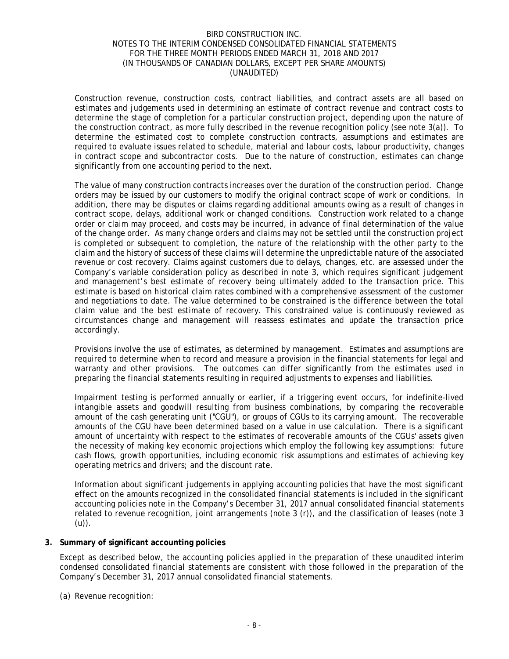Construction revenue, construction costs, contract liabilities, and contract assets are all based on estimates and judgements used in determining an estimate of contract revenue and contract costs to determine the stage of completion for a particular construction project, depending upon the nature of the construction contract, as more fully described in the revenue recognition policy (see note 3(a)). To determine the estimated cost to complete construction contracts, assumptions and estimates are required to evaluate issues related to schedule, material and labour costs, labour productivity, changes in contract scope and subcontractor costs. Due to the nature of construction, estimates can change significantly from one accounting period to the next.

The value of many construction contracts increases over the duration of the construction period. Change orders may be issued by our customers to modify the original contract scope of work or conditions. In addition, there may be disputes or claims regarding additional amounts owing as a result of changes in contract scope, delays, additional work or changed conditions. Construction work related to a change order or claim may proceed, and costs may be incurred, in advance of final determination of the value of the change order. As many change orders and claims may not be settled until the construction project is completed or subsequent to completion, the nature of the relationship with the other party to the claim and the history of success of these claims will determine the unpredictable nature of the associated revenue or cost recovery. Claims against customers due to delays, changes, etc. are assessed under the Company's variable consideration policy as described in note 3, which requires significant judgement and management's best estimate of recovery being ultimately added to the transaction price. This estimate is based on historical claim rates combined with a comprehensive assessment of the customer and negotiations to date. The value determined to be constrained is the difference between the total claim value and the best estimate of recovery. This constrained value is continuously reviewed as circumstances change and management will reassess estimates and update the transaction price accordingly.

Provisions involve the use of estimates, as determined by management. Estimates and assumptions are required to determine when to record and measure a provision in the financial statements for legal and warranty and other provisions. The outcomes can differ significantly from the estimates used in preparing the financial statements resulting in required adjustments to expenses and liabilities.

Impairment testing is performed annually or earlier, if a triggering event occurs, for indefinite-lived intangible assets and goodwill resulting from business combinations, by comparing the recoverable amount of the cash generating unit ("CGU"), or groups of CGUs to its carrying amount. The recoverable amounts of the CGU have been determined based on a value in use calculation. There is a significant amount of uncertainty with respect to the estimates of recoverable amounts of the CGUs' assets given the necessity of making key economic projections which employ the following key assumptions: future cash flows, growth opportunities, including economic risk assumptions and estimates of achieving key operating metrics and drivers; and the discount rate.

Information about significant judgements in applying accounting policies that have the most significant effect on the amounts recognized in the consolidated financial statements is included in the significant accounting policies note in the Company's December 31, 2017 annual consolidated financial statements related to revenue recognition, joint arrangements (note 3 (r)), and the classification of leases (note 3 (u)).

### **3. Summary of significant accounting policies**

Except as described below, the accounting policies applied in the preparation of these unaudited interim condensed consolidated financial statements are consistent with those followed in the preparation of the Company's December 31, 2017 annual consolidated financial statements.

(a) Revenue recognition: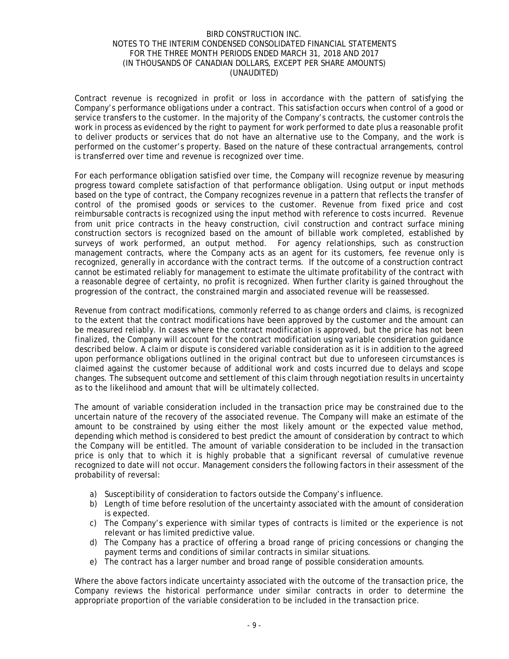Contract revenue is recognized in profit or loss in accordance with the pattern of satisfying the Company's performance obligations under a contract. This satisfaction occurs when control of a good or service transfers to the customer. In the majority of the Company's contracts, the customer controls the work in process as evidenced by the right to payment for work performed to date plus a reasonable profit to deliver products or services that do not have an alternative use to the Company, and the work is performed on the customer's property. Based on the nature of these contractual arrangements, control is transferred over time and revenue is recognized over time.

For each performance obligation satisfied over time, the Company will recognize revenue by measuring progress toward complete satisfaction of that performance obligation. Using output or input methods based on the type of contract, the Company recognizes revenue in a pattern that reflects the transfer of control of the promised goods or services to the customer. Revenue from fixed price and cost reimbursable contracts is recognized using the input method with reference to costs incurred. Revenue from unit price contracts in the heavy construction, civil construction and contract surface mining construction sectors is recognized based on the amount of billable work completed, established by surveys of work performed, an output method. For agency relationships, such as construction management contracts, where the Company acts as an agent for its customers, fee revenue only is recognized, generally in accordance with the contract terms. If the outcome of a construction contract cannot be estimated reliably for management to estimate the ultimate profitability of the contract with a reasonable degree of certainty, no profit is recognized. When further clarity is gained throughout the progression of the contract, the constrained margin and associated revenue will be reassessed.

Revenue from contract modifications, commonly referred to as change orders and claims, is recognized to the extent that the contract modifications have been approved by the customer and the amount can be measured reliably. In cases where the contract modification is approved, but the price has not been finalized, the Company will account for the contract modification using variable consideration guidance described below. A claim or dispute is considered variable consideration as it is in addition to the agreed upon performance obligations outlined in the original contract but due to unforeseen circumstances is claimed against the customer because of additional work and costs incurred due to delays and scope changes. The subsequent outcome and settlement of this claim through negotiation results in uncertainty as to the likelihood and amount that will be ultimately collected.

The amount of variable consideration included in the transaction price may be constrained due to the uncertain nature of the recovery of the associated revenue. The Company will make an estimate of the amount to be constrained by using either the most likely amount or the expected value method, depending which method is considered to best predict the amount of consideration by contract to which the Company will be entitled. The amount of variable consideration to be included in the transaction price is only that to which it is highly probable that a significant reversal of cumulative revenue recognized to date will not occur. Management considers the following factors in their assessment of the probability of reversal:

- a) Susceptibility of consideration to factors outside the Company's influence.
- b) Length of time before resolution of the uncertainty associated with the amount of consideration is expected.
- c) The Company's experience with similar types of contracts is limited or the experience is not relevant or has limited predictive value.
- d) The Company has a practice of offering a broad range of pricing concessions or changing the payment terms and conditions of similar contracts in similar situations.
- e) The contract has a larger number and broad range of possible consideration amounts.

Where the above factors indicate uncertainty associated with the outcome of the transaction price, the Company reviews the historical performance under similar contracts in order to determine the appropriate proportion of the variable consideration to be included in the transaction price.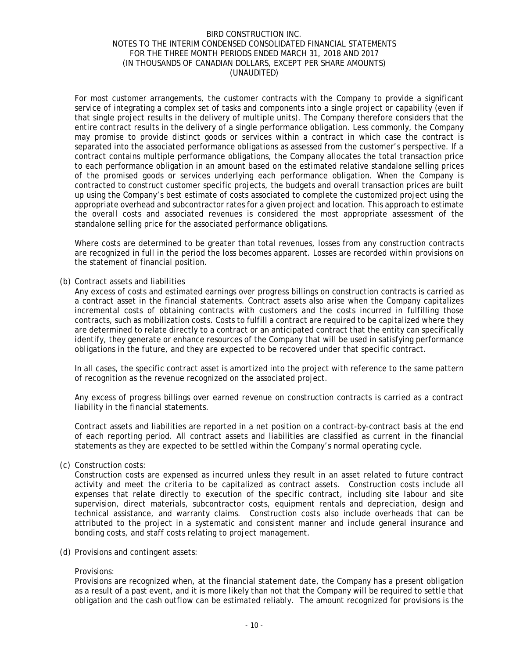For most customer arrangements, the customer contracts with the Company to provide a significant service of integrating a complex set of tasks and components into a single project or capability (even if that single project results in the delivery of multiple units). The Company therefore considers that the entire contract results in the delivery of a single performance obligation. Less commonly, the Company may promise to provide distinct goods or services within a contract in which case the contract is separated into the associated performance obligations as assessed from the customer's perspective. If a contract contains multiple performance obligations, the Company allocates the total transaction price to each performance obligation in an amount based on the estimated relative standalone selling prices of the promised goods or services underlying each performance obligation. When the Company is contracted to construct customer specific projects, the budgets and overall transaction prices are built up using the Company's best estimate of costs associated to complete the customized project using the appropriate overhead and subcontractor rates for a given project and location. This approach to estimate the overall costs and associated revenues is considered the most appropriate assessment of the standalone selling price for the associated performance obligations.

Where costs are determined to be greater than total revenues, losses from any construction contracts are recognized in full in the period the loss becomes apparent. Losses are recorded within provisions on the statement of financial position.

### (b) Contract assets and liabilities

Any excess of costs and estimated earnings over progress billings on construction contracts is carried as a contract asset in the financial statements. Contract assets also arise when the Company capitalizes incremental costs of obtaining contracts with customers and the costs incurred in fulfilling those contracts, such as mobilization costs. Costs to fulfill a contract are required to be capitalized where they are determined to relate directly to a contract or an anticipated contract that the entity can specifically identify, they generate or enhance resources of the Company that will be used in satisfying performance obligations in the future, and they are expected to be recovered under that specific contract.

In all cases, the specific contract asset is amortized into the project with reference to the same pattern of recognition as the revenue recognized on the associated project.

Any excess of progress billings over earned revenue on construction contracts is carried as a contract liability in the financial statements.

Contract assets and liabilities are reported in a net position on a contract-by-contract basis at the end of each reporting period. All contract assets and liabilities are classified as current in the financial statements as they are expected to be settled within the Company's normal operating cycle.

(c) Construction costs:

Construction costs are expensed as incurred unless they result in an asset related to future contract activity and meet the criteria to be capitalized as contract assets. Construction costs include all expenses that relate directly to execution of the specific contract, including site labour and site supervision, direct materials, subcontractor costs, equipment rentals and depreciation, design and technical assistance, and warranty claims. Construction costs also include overheads that can be attributed to the project in a systematic and consistent manner and include general insurance and bonding costs, and staff costs relating to project management.

(d) Provisions and contingent assets:

#### Provisions:

Provisions are recognized when, at the financial statement date, the Company has a present obligation as a result of a past event, and it is more likely than not that the Company will be required to settle that obligation and the cash outflow can be estimated reliably. The amount recognized for provisions is the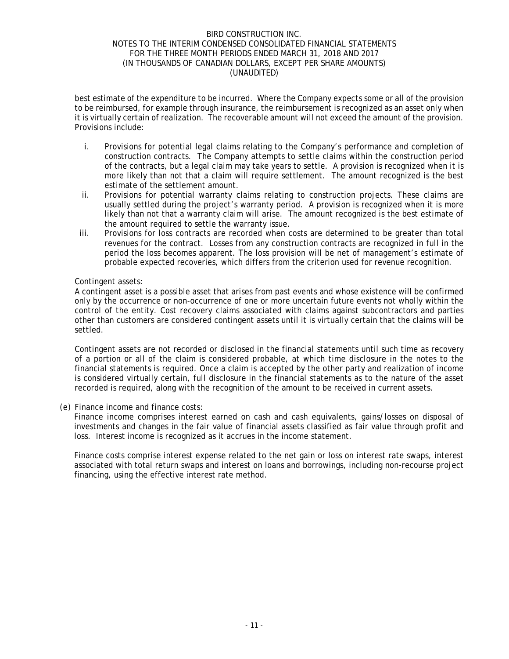best estimate of the expenditure to be incurred. Where the Company expects some or all of the provision to be reimbursed, for example through insurance, the reimbursement is recognized as an asset only when it is virtually certain of realization. The recoverable amount will not exceed the amount of the provision. Provisions include:

- i. Provisions for potential legal claims relating to the Company's performance and completion of construction contracts. The Company attempts to settle claims within the construction period of the contracts, but a legal claim may take years to settle. A provision is recognized when it is more likely than not that a claim will require settlement. The amount recognized is the best estimate of the settlement amount.
- ii. Provisions for potential warranty claims relating to construction projects. These claims are usually settled during the project's warranty period. A provision is recognized when it is more likely than not that a warranty claim will arise. The amount recognized is the best estimate of the amount required to settle the warranty issue.
- iii. Provisions for loss contracts are recorded when costs are determined to be greater than total revenues for the contract. Losses from any construction contracts are recognized in full in the period the loss becomes apparent. The loss provision will be net of management's estimate of probable expected recoveries, which differs from the criterion used for revenue recognition.

## Contingent assets:

A contingent asset is a possible asset that arises from past events and whose existence will be confirmed only by the occurrence or non-occurrence of one or more uncertain future events not wholly within the control of the entity. Cost recovery claims associated with claims against subcontractors and parties other than customers are considered contingent assets until it is virtually certain that the claims will be settled.

Contingent assets are not recorded or disclosed in the financial statements until such time as recovery of a portion or all of the claim is considered probable, at which time disclosure in the notes to the financial statements is required. Once a claim is accepted by the other party and realization of income is considered virtually certain, full disclosure in the financial statements as to the nature of the asset recorded is required, along with the recognition of the amount to be received in current assets.

(e) Finance income and finance costs:

Finance income comprises interest earned on cash and cash equivalents, gains/losses on disposal of investments and changes in the fair value of financial assets classified as fair value through profit and loss. Interest income is recognized as it accrues in the income statement.

Finance costs comprise interest expense related to the net gain or loss on interest rate swaps, interest associated with total return swaps and interest on loans and borrowings, including non-recourse project financing, using the effective interest rate method.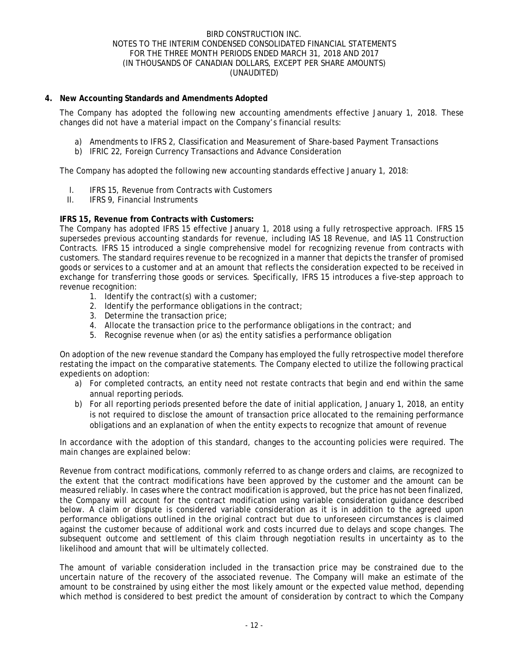## **4. New Accounting Standards and Amendments Adopted**

The Company has adopted the following new accounting amendments effective January 1, 2018. These changes did not have a material impact on the Company's financial results:

- a) Amendments to IFRS 2, Classification and Measurement of Share-based Payment Transactions
- b) IFRIC 22, Foreign Currency Transactions and Advance Consideration

The Company has adopted the following new accounting standards effective January 1, 2018:

- I. IFRS 15, Revenue from Contracts with Customers
- II. IFRS 9, Financial Instruments

### **IFRS 15, Revenue from Contracts with Customers:**

The Company has adopted IFRS 15 effective January 1, 2018 using a fully retrospective approach. IFRS 15 supersedes previous accounting standards for revenue, including IAS 18 Revenue, and IAS 11 Construction Contracts. IFRS 15 introduced a single comprehensive model for recognizing revenue from contracts with customers. The standard requires revenue to be recognized in a manner that depicts the transfer of promised goods or services to a customer and at an amount that reflects the consideration expected to be received in exchange for transferring those goods or services. Specifically, IFRS 15 introduces a five-step approach to revenue recognition:

- 1. Identify the contract(s) with a customer;
- 2. Identify the performance obligations in the contract;
- 3. Determine the transaction price;
- 4. Allocate the transaction price to the performance obligations in the contract; and
- 5. Recognise revenue when (or as) the entity satisfies a performance obligation

On adoption of the new revenue standard the Company has employed the fully retrospective model therefore restating the impact on the comparative statements. The Company elected to utilize the following practical expedients on adoption:

- a) For completed contracts, an entity need not restate contracts that begin and end within the same annual reporting periods.
- b) For all reporting periods presented before the date of initial application, January 1, 2018, an entity is not required to disclose the amount of transaction price allocated to the remaining performance obligations and an explanation of when the entity expects to recognize that amount of revenue

In accordance with the adoption of this standard, changes to the accounting policies were required. The main changes are explained below:

Revenue from contract modifications, commonly referred to as change orders and claims, are recognized to the extent that the contract modifications have been approved by the customer and the amount can be measured reliably. In cases where the contract modification is approved, but the price has not been finalized, the Company will account for the contract modification using variable consideration guidance described below. A claim or dispute is considered variable consideration as it is in addition to the agreed upon performance obligations outlined in the original contract but due to unforeseen circumstances is claimed against the customer because of additional work and costs incurred due to delays and scope changes. The subsequent outcome and settlement of this claim through negotiation results in uncertainty as to the likelihood and amount that will be ultimately collected.

The amount of variable consideration included in the transaction price may be constrained due to the uncertain nature of the recovery of the associated revenue. The Company will make an estimate of the amount to be constrained by using either the most likely amount or the expected value method, depending which method is considered to best predict the amount of consideration by contract to which the Company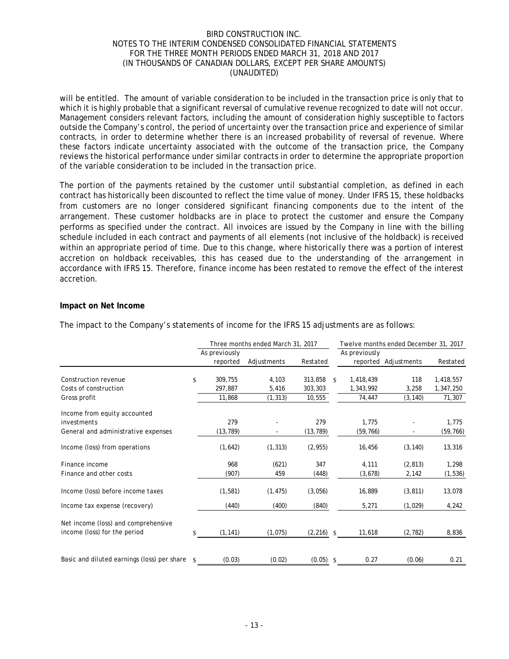will be entitled. The amount of variable consideration to be included in the transaction price is only that to which it is highly probable that a significant reversal of cumulative revenue recognized to date will not occur. Management considers relevant factors, including the amount of consideration highly susceptible to factors outside the Company's control, the period of uncertainty over the transaction price and experience of similar contracts, in order to determine whether there is an increased probability of reversal of revenue. Where these factors indicate uncertainty associated with the outcome of the transaction price, the Company reviews the historical performance under similar contracts in order to determine the appropriate proportion of the variable consideration to be included in the transaction price.

The portion of the payments retained by the customer until substantial completion, as defined in each contract has historically been discounted to reflect the time value of money. Under IFRS 15, these holdbacks from customers are no longer considered significant financing components due to the intent of the arrangement. These customer holdbacks are in place to protect the customer and ensure the Company performs as specified under the contract. All invoices are issued by the Company in line with the billing schedule included in each contract and payments of all elements (not inclusive of the holdback) is received within an appropriate period of time. Due to this change, where historically there was a portion of interest accretion on holdback receivables, this has ceased due to the understanding of the arrangement in accordance with IFRS 15. Therefore, finance income has been restated to remove the effect of the interest accretion.

### **Impact on Net Income**

|                                             |                    |               | Three months ended March 31, 2017 |              |                    | Twelve months ended December 31, 2017 |                      |           |  |  |
|---------------------------------------------|--------------------|---------------|-----------------------------------|--------------|--------------------|---------------------------------------|----------------------|-----------|--|--|
|                                             |                    | As previously |                                   |              |                    | As previously                         |                      |           |  |  |
|                                             |                    | reported      | Adjustments                       | Restated     |                    |                                       | reported Adjustments | Restated  |  |  |
| Construction revenue                        | $\mathbf{\$}$      | 309,755       | 4,103                             | 313,858      | $\mathbf{\hat{x}}$ | 1,418,439                             | 118                  | 1,418,557 |  |  |
| Costs of construction                       |                    | 297,887       | 5,416                             | 303,303      |                    | 1,343,992                             | 3,258                | 1,347,250 |  |  |
| Gross profit                                |                    | 11,868        | (1, 313)                          | 10,555       |                    | 74,447                                | (3, 140)             | 71,307    |  |  |
| Income from equity accounted                |                    |               |                                   |              |                    |                                       |                      |           |  |  |
| investments                                 |                    | 279           |                                   | 279          |                    | 1,775                                 |                      | 1,775     |  |  |
| General and administrative expenses         |                    | (13, 789)     |                                   | (13, 789)    |                    | (59, 766)                             |                      | (59, 766) |  |  |
| Income (loss) from operations               |                    | (1,642)       | (1, 313)                          | (2, 955)     |                    | 16,456                                | (3, 140)             | 13,316    |  |  |
| Finance income                              |                    | 968           | (621)                             | 347          |                    | 4,111                                 | (2, 813)             | 1,298     |  |  |
| Finance and other costs                     |                    | (907)         | 459                               | (448)        |                    | (3,678)                               | 2,142                | (1, 536)  |  |  |
| Income (loss) before income taxes           |                    | (1, 581)      | (1, 475)                          | (3,056)      |                    | 16,889                                | (3, 811)             | 13,078    |  |  |
| Income tax expense (recovery)               |                    | (440)         | (400)                             | (840)        |                    | 5,271                                 | (1,029)              | 4,242     |  |  |
| Net income (loss) and comprehensive         |                    |               |                                   |              |                    |                                       |                      |           |  |  |
| income (loss) for the period                | \$.                | (1, 141)      | (1,075)                           | $(2,216)$ \$ |                    | 11,618                                | (2, 782)             | 8,836     |  |  |
|                                             |                    |               |                                   |              |                    |                                       |                      |           |  |  |
| Basic and diluted earnings (loss) per share | $\mathbf{\hat{x}}$ | (0.03)        | (0.02)                            | (0.05)       | $\mathbf{s}$       | 0.27                                  | (0.06)               | 0.21      |  |  |

The impact to the Company's statements of income for the IFRS 15 adjustments are as follows: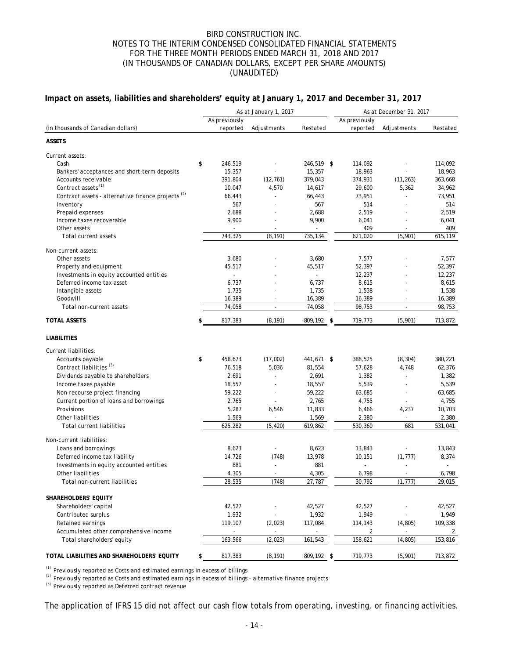### **Impact on assets, liabilities and shareholders' equity at January 1, 2017 and December 31, 2017**

|                                                               | As at January 1, 2017    |                          |                          |  | As at December 31, 2017 |                          |          |  |  |  |
|---------------------------------------------------------------|--------------------------|--------------------------|--------------------------|--|-------------------------|--------------------------|----------|--|--|--|
|                                                               | As previously            |                          |                          |  | As previously           |                          |          |  |  |  |
| (in thousands of Canadian dollars)                            | reported                 | Adjustments              | Restated                 |  | reported                | Adjustments              | Restated |  |  |  |
| <b>ASSETS</b>                                                 |                          |                          |                          |  |                         |                          |          |  |  |  |
| Current assets:                                               |                          |                          |                          |  |                         |                          |          |  |  |  |
| Cash                                                          | \$<br>246,519            |                          | 246,519 \$               |  | 114,092                 |                          | 114,092  |  |  |  |
| Bankers' acceptances and short-term deposits                  | 15,357                   |                          | 15,357                   |  | 18,963                  |                          | 18,963   |  |  |  |
| Accounts receivable                                           | 391,804                  | (12, 761)                | 379,043                  |  | 374,931                 | (11, 263)                | 363,668  |  |  |  |
| Contract assets <sup>(1)</sup>                                | 10,047                   | 4,570                    | 14,617                   |  | 29,600                  | 5,362                    | 34,962   |  |  |  |
| Contract assets - alternative finance projects <sup>(2)</sup> | 66,443                   |                          | 66,443                   |  | 73,951                  |                          | 73,951   |  |  |  |
| Inventory                                                     | 567                      |                          | 567                      |  | 514                     |                          | 514      |  |  |  |
| Prepaid expenses                                              | 2,688                    |                          | 2,688                    |  | 2,519                   |                          | 2,519    |  |  |  |
| Income taxes recoverable                                      | 9,900                    |                          | 9,900                    |  | 6,041                   |                          | 6,041    |  |  |  |
| Other assets                                                  | $\overline{\phantom{a}}$ | $\overline{\phantom{a}}$ | $\overline{\phantom{a}}$ |  | 409                     | $\overline{\phantom{a}}$ | 409      |  |  |  |
| Total current assets                                          | 743,325                  | (8, 191)                 | 735,134                  |  | 621,020                 | (5,901)                  | 615,119  |  |  |  |
| Non-current assets:                                           |                          |                          |                          |  |                         |                          |          |  |  |  |
| Other assets                                                  | 3,680                    |                          | 3,680                    |  | 7,577                   |                          | 7,577    |  |  |  |
| Property and equipment                                        | 45,517                   |                          | 45,517                   |  | 52,397                  |                          | 52,397   |  |  |  |
| Investments in equity accounted entities                      |                          |                          | $\sim$                   |  | 12,237                  |                          | 12,237   |  |  |  |
| Deferred income tax asset                                     | 6,737                    |                          | 6,737                    |  | 8,615                   |                          | 8,615    |  |  |  |
| Intangible assets                                             | 1,735                    |                          | 1,735                    |  | 1,538                   |                          | 1,538    |  |  |  |
| Goodwill                                                      | 16,389                   | $\overline{\phantom{a}}$ | 16,389                   |  | 16,389                  | $\overline{\phantom{a}}$ | 16,389   |  |  |  |
| Total non-current assets                                      | 74,058                   | $\sim$                   | 74,058                   |  | 98,753                  | $\overline{a}$           | 98,753   |  |  |  |
| <b>TOTAL ASSETS</b>                                           | \$<br>817,383            | (8.191)                  | 809,192 \$               |  | 719,773                 | (5.901)                  | 713,872  |  |  |  |
| <b>LIABILITIES</b>                                            |                          |                          |                          |  |                         |                          |          |  |  |  |
| Current liabilities:                                          |                          |                          |                          |  |                         |                          |          |  |  |  |
| Accounts payable                                              | \$<br>458,673            | (17,002)                 | 441,671 \$               |  | 388,525                 | (8, 304)                 | 380,221  |  |  |  |
| Contract liabilities <sup>(3)</sup>                           | 76,518                   | 5,036                    | 81,554                   |  | 57,628                  | 4,748                    | 62,376   |  |  |  |
| Dividends payable to shareholders                             | 2,691                    |                          | 2,691                    |  | 1,382                   |                          | 1,382    |  |  |  |
| Income taxes payable                                          | 18,557                   |                          | 18,557                   |  | 5,539                   |                          | 5,539    |  |  |  |
| Non-recourse project financing                                | 59,222                   | $\overline{a}$           | 59,222                   |  | 63,685                  | L,                       | 63,685   |  |  |  |
| Current portion of loans and borrowings                       | 2,765                    |                          | 2,765                    |  | 4,755                   |                          | 4,755    |  |  |  |
| Provisions                                                    | 5,287                    | 6,546                    | 11,833                   |  | 6,466                   | 4,237                    | 10,703   |  |  |  |
| Other liabilities                                             | 1,569                    | $\overline{\phantom{a}}$ | 1,569                    |  | 2,380                   | ÷,                       | 2,380    |  |  |  |
| <b>Total current liabilities</b>                              | 625,282                  | (5, 420)                 | 619,862                  |  | 530,360                 | 681                      | 531,041  |  |  |  |
| Non-current liabilities:                                      |                          |                          |                          |  |                         |                          |          |  |  |  |
| Loans and borrowings                                          | 8,623                    | $\overline{\phantom{a}}$ | 8,623                    |  | 13,843                  |                          | 13,843   |  |  |  |
| Deferred income tax liability                                 | 14,726                   | (748)                    | 13,978                   |  | 10,151                  | (1, 777)                 | 8,374    |  |  |  |
| Investments in equity accounted entities                      | 881                      |                          | 881                      |  |                         |                          |          |  |  |  |
| Other liabilities                                             | 4,305                    |                          | 4,305                    |  | 6,798                   |                          | 6,798    |  |  |  |
| Total non-current liabilities                                 | 28,535                   | (748)                    | 27,787                   |  | 30,792                  | (1, 777)                 | 29,015   |  |  |  |
|                                                               |                          |                          |                          |  |                         |                          |          |  |  |  |
| SHAREHOLDERS' EQUITY                                          |                          |                          |                          |  |                         |                          |          |  |  |  |
| Shareholders' capital                                         | 42,527                   |                          | 42,527                   |  | 42,527                  |                          | 42,527   |  |  |  |
| Contributed surplus                                           | 1,932                    | ÷,                       | 1,932                    |  | 1,949                   |                          | 1,949    |  |  |  |
| Retained earnings                                             | 119,107                  | (2,023)                  | 117,084                  |  | 114,143                 | (4, 805)                 | 109,338  |  |  |  |
| Accumulated other comprehensive income                        |                          | $\overline{\phantom{a}}$ |                          |  | 2                       | $\frac{1}{2}$            | 2        |  |  |  |
| Total shareholders' equity                                    | 163,566                  | (2,023)                  | 161,543                  |  | 158,621                 | (4, 805)                 | 153,816  |  |  |  |
| TOTAL LIABILITIES AND SHAREHOLDERS' EQUITY                    | \$<br>817,383            | (8, 191)                 | 809,192 \$               |  | 719,773                 | (5,901)                  | 713,872  |  |  |  |

*(1) Previously reported as Costs and estimated earnings in excess of billings*

*(2) Previously reported as Costs and estimated earnings in excess of billings - alternative finance projects*

*(3) Previously reported as Deferred contract revenue*

The application of IFRS 15 did not affect our cash flow totals from operating, investing, or financing activities.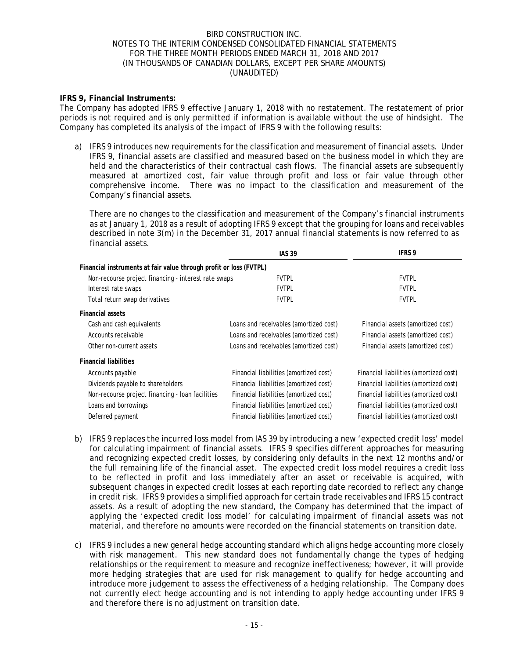### **IFRS 9, Financial Instruments:**

The Company has adopted IFRS 9 effective January 1, 2018 with no restatement. The restatement of prior periods is not required and is only permitted if information is available without the use of hindsight. The Company has completed its analysis of the impact of IFRS 9 with the following results:

a) IFRS 9 introduces new requirements for the classification and measurement of financial assets. Under IFRS 9, financial assets are classified and measured based on the business model in which they are held and the characteristics of their contractual cash flows. The financial assets are subsequently measured at amortized cost, fair value through profit and loss or fair value through other comprehensive income. There was no impact to the classification and measurement of the Company's financial assets.

There are no changes to the classification and measurement of the Company's financial instruments as at January 1, 2018 as a result of adopting IFRS 9 except that the grouping for loans and receivables described in note 3(m) in the December 31, 2017 annual financial statements is now referred to as financial assets.

|                                                                    | <b>IAS 39</b>                          | <b>IFRS 9</b>                          |
|--------------------------------------------------------------------|----------------------------------------|----------------------------------------|
| Financial instruments at fair value through profit or loss (FVTPL) |                                        |                                        |
| Non-recourse project financing - interest rate swaps               | <b>FVTPL</b>                           | <b>FVTPL</b>                           |
| Interest rate swaps                                                | <b>FVTPL</b>                           | <b>FVTPL</b>                           |
| Total return swap derivatives                                      | <b>FVTPL</b>                           | <b>FVTPL</b>                           |
| <b>Financial assets</b>                                            |                                        |                                        |
| Cash and cash equivalents                                          | Loans and receivables (amortized cost) | Financial assets (amortized cost)      |
| Accounts receivable                                                | Loans and receivables (amortized cost) | Financial assets (amortized cost)      |
| Other non-current assets                                           | Loans and receivables (amortized cost) | Financial assets (amortized cost)      |
| <b>Financial liabilities</b>                                       |                                        |                                        |
| Accounts payable                                                   | Financial liabilities (amortized cost) | Financial liabilities (amortized cost) |
| Dividends payable to shareholders                                  | Financial liabilities (amortized cost) | Financial liabilities (amortized cost) |
| Non-recourse project financing - loan facilities                   | Financial liabilities (amortized cost) | Financial liabilities (amortized cost) |
| Loans and borrowings                                               | Financial liabilities (amortized cost) | Financial liabilities (amortized cost) |
| Deferred payment                                                   | Financial liabilities (amortized cost) | Financial liabilities (amortized cost) |
|                                                                    |                                        |                                        |

- b) IFRS 9 replaces the incurred loss model from IAS 39 by introducing a new 'expected credit loss' model for calculating impairment of financial assets. IFRS 9 specifies different approaches for measuring and recognizing expected credit losses, by considering only defaults in the next 12 months and/or the full remaining life of the financial asset. The expected credit loss model requires a credit loss to be reflected in profit and loss immediately after an asset or receivable is acquired, with subsequent changes in expected credit losses at each reporting date recorded to reflect any change in credit risk. IFRS 9 provides a simplified approach for certain trade receivables and IFRS 15 contract assets. As a result of adopting the new standard, the Company has determined that the impact of applying the 'expected credit loss model' for calculating impairment of financial assets was not material, and therefore no amounts were recorded on the financial statements on transition date.
- c) IFRS 9 includes a new general hedge accounting standard which aligns hedge accounting more closely with risk management. This new standard does not fundamentally change the types of hedging relationships or the requirement to measure and recognize ineffectiveness; however, it will provide more hedging strategies that are used for risk management to qualify for hedge accounting and introduce more judgement to assess the effectiveness of a hedging relationship. The Company does not currently elect hedge accounting and is not intending to apply hedge accounting under IFRS 9 and therefore there is no adjustment on transition date.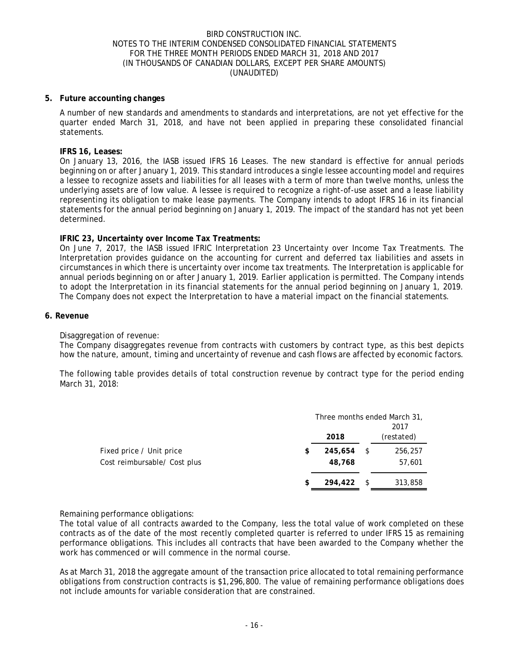### **5. Future accounting changes**

A number of new standards and amendments to standards and interpretations, are not yet effective for the quarter ended March 31, 2018, and have not been applied in preparing these consolidated financial statements.

#### **IFRS 16, Leases:**

On January 13, 2016, the IASB issued IFRS 16 Leases. The new standard is effective for annual periods beginning on or after January 1, 2019. This standard introduces a single lessee accounting model and requires a lessee to recognize assets and liabilities for all leases with a term of more than twelve months, unless the underlying assets are of low value. A lessee is required to recognize a right-of-use asset and a lease liability representing its obligation to make lease payments. The Company intends to adopt IFRS 16 in its financial statements for the annual period beginning on January 1, 2019. The impact of the standard has not yet been determined.

### **IFRIC 23, Uncertainty over Income Tax Treatments:**

On June 7, 2017, the IASB issued IFRIC Interpretation 23 Uncertainty over Income Tax Treatments. The Interpretation provides guidance on the accounting for current and deferred tax liabilities and assets in circumstances in which there is uncertainty over income tax treatments. The Interpretation is applicable for annual periods beginning on or after January 1, 2019. Earlier application is permitted. The Company intends to adopt the Interpretation in its financial statements for the annual period beginning on January 1, 2019. The Company does not expect the Interpretation to have a material impact on the financial statements.

#### **6. Revenue**

### Disaggregation of revenue:

The Company disaggregates revenue from contracts with customers by contract type, as this best depicts how the nature, amount, timing and uncertainty of revenue and cash flows are affected by economic factors.

The following table provides details of total construction revenue by contract type for the period ending March 31, 2018:

|                              |               |     | Three months ended March 31,<br>2017 |
|------------------------------|---------------|-----|--------------------------------------|
|                              | 2018          |     | (restated)                           |
| Fixed price / Unit price     | \$<br>245.654 | \$  | 256,257                              |
| Cost reimbursable/ Cost plus | 48,768        |     | 57,601                               |
|                              | \$<br>294,422 | -\$ | 313,858                              |
|                              |               |     |                                      |

### Remaining performance obligations:

The total value of all contracts awarded to the Company, less the total value of work completed on these contracts as of the date of the most recently completed quarter is referred to under IFRS 15 as remaining performance obligations. This includes all contracts that have been awarded to the Company whether the work has commenced or will commence in the normal course.

As at March 31, 2018 the aggregate amount of the transaction price allocated to total remaining performance obligations from construction contracts is \$1,296,800. The value of remaining performance obligations does not include amounts for variable consideration that are constrained.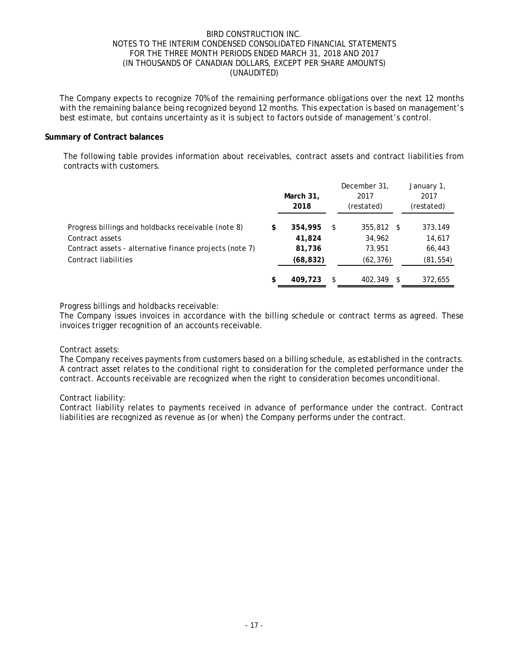The Company expects to recognize 70% of the remaining performance obligations over the next 12 months with the remaining balance being recognized beyond 12 months. This expectation is based on management's best estimate, but contains uncertainty as it is subject to factors outside of management's control.

### **Summary of Contract balances**

The following table provides information about receivables, contract assets and contract liabilities from contracts with customers.

|                                                         | March 31,<br>2018 |    | December 31,<br>2017<br>(restated) |      | January 1,<br>2017<br>(restated) |
|---------------------------------------------------------|-------------------|----|------------------------------------|------|----------------------------------|
| Progress billings and holdbacks receivable (note 8)     | \$<br>354,995     | S  | 355,812                            | - \$ | 373,149                          |
| Contract assets                                         | 41,824            |    | 34,962                             |      | 14,617                           |
| Contract assets - alternative finance projects (note 7) | 81,736            |    | 73,951                             |      | 66,443                           |
| Contract liabilities                                    | (68, 832)         |    | (62, 376)                          |      | (81, 554)                        |
|                                                         | \$<br>409,723     | \$ | 402,349                            | - \$ | 372,655                          |

### Progress billings and holdbacks receivable:

The Company issues invoices in accordance with the billing schedule or contract terms as agreed. These invoices trigger recognition of an accounts receivable.

### Contract assets:

The Company receives payments from customers based on a billing schedule, as established in the contracts. A contract asset relates to the conditional right to consideration for the completed performance under the contract. Accounts receivable are recognized when the right to consideration becomes unconditional.

### Contract liability:

Contract liability relates to payments received in advance of performance under the contract. Contract liabilities are recognized as revenue as (or when) the Company performs under the contract.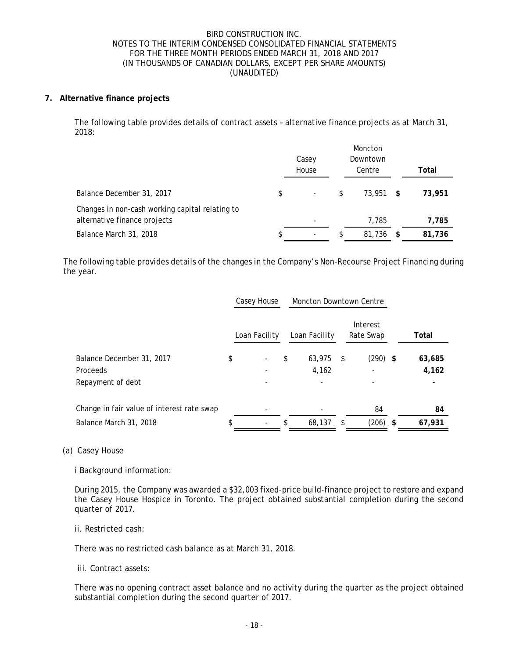### **7. Alternative finance projects**

The following table provides details of contract assets – alternative finance projects as at March 31, 2018:

|                                                                                 | Casey                          | Moncton<br>Downtown |    |        |
|---------------------------------------------------------------------------------|--------------------------------|---------------------|----|--------|
|                                                                                 | House                          | Centre              |    | Total  |
| Balance December 31, 2017                                                       | \$<br>$\overline{\phantom{a}}$ | \$<br>$73.951$ \$   |    | 73,951 |
| Changes in non-cash working capital relating to<br>alternative finance projects |                                | 7.785               |    | 7,785  |
| Balance March 31, 2018                                                          | \$<br>$\overline{\phantom{a}}$ | \$<br>81,736        | -S | 81,736 |

The following table provides details of the changes in the Company's Non-Recourse Project Financing during the year.

|                                            | Casey House<br><b>Moncton Downtown Centre</b> |    |               |     |                       |        |
|--------------------------------------------|-----------------------------------------------|----|---------------|-----|-----------------------|--------|
|                                            | Loan Facility                                 |    | Loan Facility |     | Interest<br>Rate Swap | Total  |
| Balance December 31, 2017                  | \$<br>$\overline{\phantom{a}}$                | \$ | 63.975        | -\$ | $(290)$ \$            | 63,685 |
| Proceeds                                   |                                               |    | 4,162         |     |                       | 4,162  |
| Repayment of debt                          |                                               |    |               |     |                       |        |
| Change in fair value of interest rate swap |                                               |    |               |     | 84                    | 84     |
| Balance March 31, 2018                     | $\overline{\phantom{a}}$                      | \$ | 68,137        | \$. | $(206)$ \$            | 67,931 |
|                                            |                                               |    |               |     |                       |        |

### (a) Casey House

i Background information:

During 2015, the Company was awarded a \$32,003 fixed-price build-finance project to restore and expand the Casey House Hospice in Toronto. The project obtained substantial completion during the second quarter of 2017.

### ii. Restricted cash:

There was no restricted cash balance as at March 31, 2018.

iii. Contract assets:

There was no opening contract asset balance and no activity during the quarter as the project obtained substantial completion during the second quarter of 2017.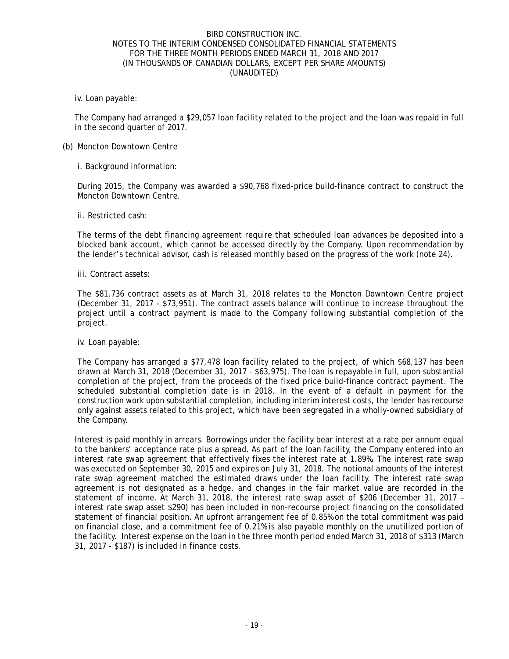iv. Loan payable:

The Company had arranged a \$29,057 loan facility related to the project and the loan was repaid in full in the second quarter of 2017.

### (b) Moncton Downtown Centre

i. Background information:

During 2015, the Company was awarded a \$90,768 fixed-price build-finance contract to construct the Moncton Downtown Centre.

ii. Restricted cash:

The terms of the debt financing agreement require that scheduled loan advances be deposited into a blocked bank account, which cannot be accessed directly by the Company. Upon recommendation by the lender's technical advisor, cash is released monthly based on the progress of the work (note 24).

iii. Contract assets:

The \$81,736 contract assets as at March 31, 2018 relates to the Moncton Downtown Centre project (December 31, 2017 - \$73,951). The contract assets balance will continue to increase throughout the project until a contract payment is made to the Company following substantial completion of the project.

iv. Loan payable:

The Company has arranged a \$77,478 loan facility related to the project, of which \$68,137 has been drawn at March 31, 2018 (December 31, 2017 - \$63,975). The loan is repayable in full, upon substantial completion of the project, from the proceeds of the fixed price build-finance contract payment. The scheduled substantial completion date is in 2018. In the event of a default in payment for the construction work upon substantial completion, including interim interest costs, the lender has recourse only against assets related to this project, which have been segregated in a wholly-owned subsidiary of the Company.

Interest is paid monthly in arrears. Borrowings under the facility bear interest at a rate per annum equal to the bankers' acceptance rate plus a spread. As part of the loan facility, the Company entered into an interest rate swap agreement that effectively fixes the interest rate at 1.89%. The interest rate swap was executed on September 30, 2015 and expires on July 31, 2018. The notional amounts of the interest rate swap agreement matched the estimated draws under the loan facility. The interest rate swap agreement is not designated as a hedge, and changes in the fair market value are recorded in the statement of income. At March 31, 2018, the interest rate swap asset of \$206 (December 31, 2017 – interest rate swap asset \$290) has been included in non-recourse project financing on the consolidated statement of financial position. An upfront arrangement fee of 0.85% on the total commitment was paid on financial close, and a commitment fee of 0.21% is also payable monthly on the unutilized portion of the facility. Interest expense on the loan in the three month period ended March 31, 2018 of \$313 (March 31, 2017 - \$187) is included in finance costs.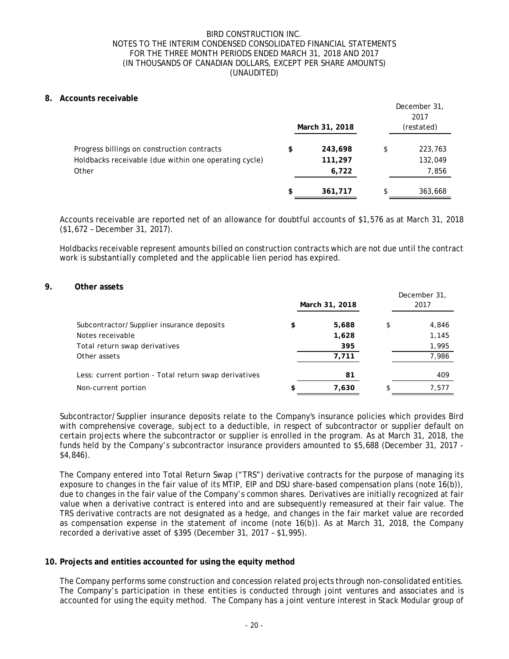### **8. Accounts receivable**

|                                                       | March 31, 2018 | December 31,<br>2017<br>(restated) |
|-------------------------------------------------------|----------------|------------------------------------|
| Progress billings on construction contracts           | \$<br>243,698  | \$<br>223,763                      |
| Holdbacks receivable (due within one operating cycle) | 111,297        | 132,049                            |
| Other                                                 | 6,722          | 7,856                              |
|                                                       | \$<br>361,717  | \$<br>363,668                      |

Accounts receivable are reported net of an allowance for doubtful accounts of \$1,576 as at March 31, 2018 (\$1,672 – December 31, 2017).

Holdbacks receivable represent amounts billed on construction contracts which are not due until the contract work is substantially completed and the applicable lien period has expired.

#### **9. Other assets**

|                                                       | March 31, 2018 | December 31,<br>2017 |
|-------------------------------------------------------|----------------|----------------------|
| Subcontractor/Supplier insurance deposits             | \$<br>5,688    | \$<br>4,846          |
| Notes receivable                                      | 1,628          | 1,145                |
| Total return swap derivatives                         | 395            | 1,995                |
| Other assets                                          | 7,711          | 7,986                |
| Less: current portion - Total return swap derivatives | 81             | 409                  |
| Non-current portion                                   | \$<br>7,630    | 7,577                |

Subcontractor/Supplier insurance deposits relate to the Company's insurance policies which provides Bird with comprehensive coverage, subject to a deductible, in respect of subcontractor or supplier default on certain projects where the subcontractor or supplier is enrolled in the program. As at March 31, 2018, the funds held by the Company's subcontractor insurance providers amounted to \$5,688 (December 31, 2017 - \$4,846).

The Company entered into Total Return Swap ("TRS") derivative contracts for the purpose of managing its exposure to changes in the fair value of its MTIP, EIP and DSU share-based compensation plans (note 16(b)), due to changes in the fair value of the Company's common shares. Derivatives are initially recognized at fair value when a derivative contract is entered into and are subsequently remeasured at their fair value. The TRS derivative contracts are not designated as a hedge, and changes in the fair market value are recorded as compensation expense in the statement of income (note 16(b)). As at March 31, 2018, the Company recorded a derivative asset of \$395 (December 31, 2017 – \$1,995).

### **10. Projects and entities accounted for using the equity method**

The Company performs some construction and concession related projects through non-consolidated entities. The Company's participation in these entities is conducted through joint ventures and associates and is accounted for using the equity method. The Company has a joint venture interest in Stack Modular group of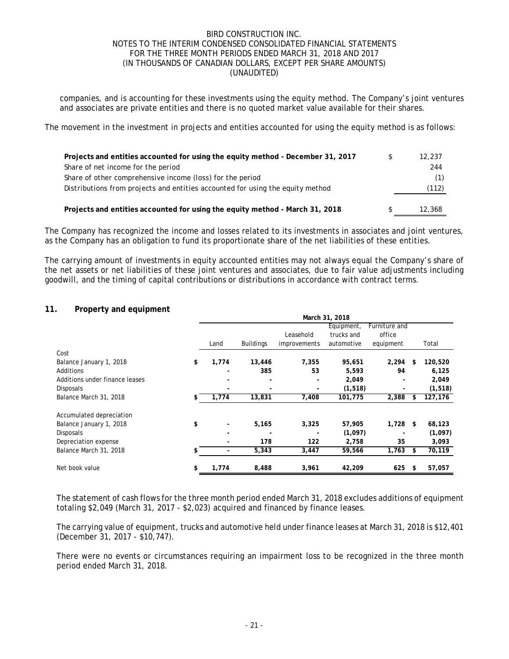companies, and is accounting for these investments using the equity method. The Company's joint ventures and associates are private entities and there is no quoted market value available for their shares.

The movement in the investment in projects and entities accounted for using the equity method is as follows:

| Projects and entities accounted for using the equity method - December 31, 2017 | 12,237 |
|---------------------------------------------------------------------------------|--------|
| Share of net income for the period                                              | 244    |
| Share of other comprehensive income (loss) for the period                       |        |
| Distributions from projects and entities accounted for using the equity method  | (112)  |
|                                                                                 |        |
| Projects and entities accounted for using the equity method - March 31, 2018    | 12,368 |

The Company has recognized the income and losses related to its investments in associates and joint ventures, as the Company has an obligation to fund its proportionate share of the net liabilities of these entities.

The carrying amount of investments in equity accounted entities may not always equal the Company's share of the net assets or net liabilities of these joint ventures and associates, due to fair value adjustments including goodwill, and the timing of capital contributions or distributions in accordance with contract terms.

### **11. Property and equipment**

|                                | March 31, 2018                 |                          |                          |            |               |    |          |
|--------------------------------|--------------------------------|--------------------------|--------------------------|------------|---------------|----|----------|
|                                |                                |                          |                          | Equipment, | Furniture and |    |          |
|                                |                                |                          | Leasehold                | trucks and | office        |    |          |
|                                | Land                           | <b>Buildings</b>         | <i>improvements</i>      | automotive | equipment     |    | Total    |
| Cost                           |                                |                          |                          |            |               |    |          |
| Balance January 1, 2018        | \$<br>1,774                    | 13,446                   | 7,355                    | 95,651     | 2,294         | \$ | 120,520  |
| Additions                      |                                | 385                      | 53                       | 5,593      | 94            |    | 6,125    |
| Additions under finance leases |                                | $\overline{\phantom{a}}$ | $\overline{\phantom{a}}$ | 2,049      |               |    | 2,049    |
| <b>Disposals</b>               | $\overline{\phantom{a}}$       | $\overline{\phantom{0}}$ | $\overline{\phantom{a}}$ | (1, 518)   | ٠             |    | (1, 518) |
| Balance March 31, 2018         | \$<br>1,774                    | 13,831                   | 7,408                    | 101,775    | 2,388         | \$ | 127,176  |
|                                |                                |                          |                          |            |               |    |          |
| Accumulated depreciation       |                                |                          |                          |            |               |    |          |
| Balance January 1, 2018        | \$<br>$\overline{\phantom{a}}$ | 5,165                    | 3,325                    | 57,905     | 1,728         | \$ | 68,123   |
| <b>Disposals</b>               |                                |                          |                          | (1,097)    |               |    | (1,097)  |
| Depreciation expense           |                                | 178                      | 122                      | 2,758      | 35            |    | 3,093    |
| Balance March 31, 2018         | \$                             | 5,343                    | 3,447                    | 59,566     | 1,763         | \$ | 70,119   |
| Net book value                 | \$<br>1,774                    | 8,488                    | 3,961                    | 42,209     | 625           | \$ | 57,057   |

The statement of cash flows for the three month period ended March 31, 2018 excludes additions of equipment totaling \$2,049 (March 31, 2017 - \$2,023) acquired and financed by finance leases.

The carrying value of equipment, trucks and automotive held under finance leases at March 31, 2018 is \$12,401 (December 31, 2017 - \$10,747).

There were no events or circumstances requiring an impairment loss to be recognized in the three month period ended March 31, 2018.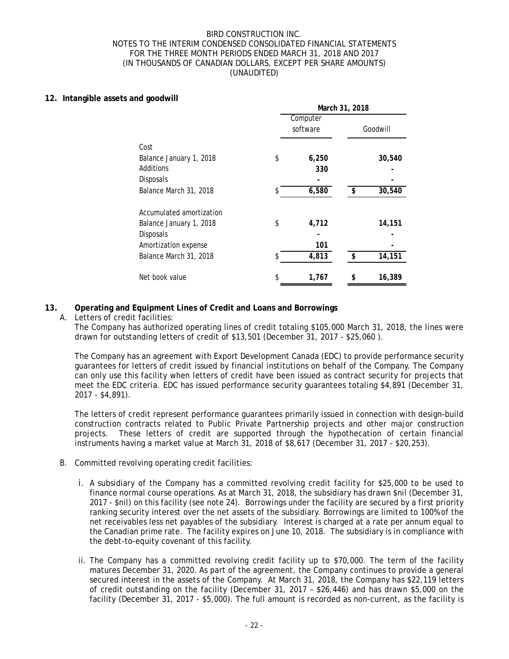### **12. Intangible assets and goodwill**

| . .u goodwrn             |    | Computer | March 31, 2018 |          |  |  |
|--------------------------|----|----------|----------------|----------|--|--|
|                          |    | software |                | Goodwill |  |  |
| Cost                     |    |          |                |          |  |  |
| Balance January 1, 2018  | \$ | 6,250    |                | 30,540   |  |  |
| Additions                |    | 330      |                |          |  |  |
| Disposals                |    |          |                |          |  |  |
| Balance March 31, 2018   | S. | 6,580    | \$             | 30,540   |  |  |
| Accumulated amortization |    |          |                |          |  |  |
| Balance January 1, 2018  | \$ | 4,712    |                | 14,151   |  |  |
| <b>Disposals</b>         |    |          |                |          |  |  |
| Amortization expense     |    | 101      |                |          |  |  |
| Balance March 31, 2018   |    | 4,813    | \$             | 14,151   |  |  |
| Net book value           | \$ | 1,767    | \$             | 16,389   |  |  |

# **13. Operating and Equipment Lines of Credit and Loans and Borrowings**

A. Letters of credit facilities:

The Company has authorized operating lines of credit totaling \$105,000 March 31, 2018, the lines were drawn for outstanding letters of credit of \$13,501 (December 31, 2017 - \$25,060 ).

The Company has an agreement with Export Development Canada (EDC) to provide performance security guarantees for letters of credit issued by financial institutions on behalf of the Company. The Company can only use this facility when letters of credit have been issued as contract security for projects that meet the EDC criteria. EDC has issued performance security guarantees totaling \$4,891 (December 31, 2017 - \$4,891).

The letters of credit represent performance guarantees primarily issued in connection with design-build construction contracts related to Public Private Partnership projects and other major construction projects. These letters of credit are supported through the hypothecation of certain financial instruments having a market value at March 31, 2018 of \$8,617 (December 31, 2017 - \$20,253).

- B. Committed revolving operating credit facilities:
	- i. A subsidiary of the Company has a committed revolving credit facility for \$25,000 to be used to finance normal course operations. As at March 31, 2018, the subsidiary has drawn \$nil (December 31, 2017 - \$nil) on this facility (see note 24). Borrowings under the facility are secured by a first priority ranking security interest over the net assets of the subsidiary. Borrowings are limited to 100% of the net receivables less net payables of the subsidiary. Interest is charged at a rate per annum equal to the Canadian prime rate. The facility expires on June 10, 2018. The subsidiary is in compliance with the debt-to-equity covenant of this facility.
	- ii. The Company has a committed revolving credit facility up to \$70,000. The term of the facility matures December 31, 2020. As part of the agreement, the Company continues to provide a general secured interest in the assets of the Company. At March 31, 2018, the Company has \$22,119 letters of credit outstanding on the facility (December 31, 2017 – \$26,446) and has drawn \$5,000 on the facility (December 31, 2017 - \$5,000). The full amount is recorded as non-current, as the facility is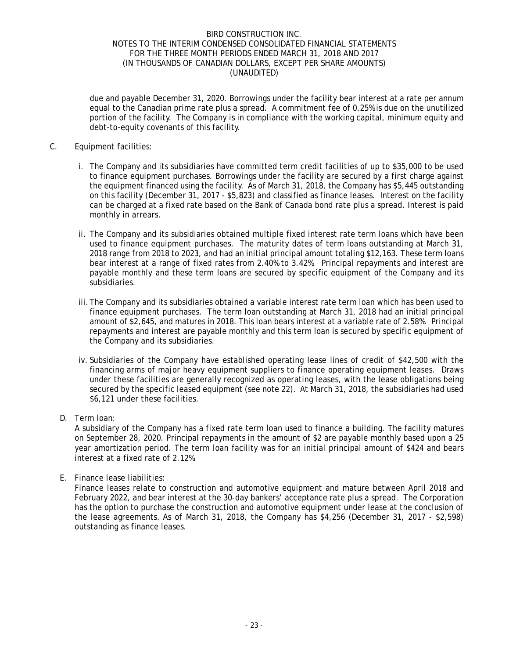due and payable December 31, 2020. Borrowings under the facility bear interest at a rate per annum equal to the Canadian prime rate plus a spread. A commitment fee of 0.25% is due on the unutilized portion of the facility. The Company is in compliance with the working capital, minimum equity and debt-to-equity covenants of this facility.

## C. Equipment facilities:

- i. The Company and its subsidiaries have committed term credit facilities of up to \$35,000 to be used to finance equipment purchases. Borrowings under the facility are secured by a first charge against the equipment financed using the facility. As of March 31, 2018, the Company has \$5,445 outstanding on this facility (December 31, 2017 - \$5,823) and classified as finance leases. Interest on the facility can be charged at a fixed rate based on the Bank of Canada bond rate plus a spread. Interest is paid monthly in arrears.
- ii. The Company and its subsidiaries obtained multiple fixed interest rate term loans which have been used to finance equipment purchases. The maturity dates of term loans outstanding at March 31, 2018 range from 2018 to 2023, and had an initial principal amount totaling \$12,163. These term loans bear interest at a range of fixed rates from 2.40% to 3.42%. Principal repayments and interest are payable monthly and these term loans are secured by specific equipment of the Company and its subsidiaries.
- iii.The Company and its subsidiaries obtained a variable interest rate term loan which has been used to finance equipment purchases. The term loan outstanding at March 31, 2018 had an initial principal amount of \$2,645, and matures in 2018. This loan bears interest at a variable rate of 2.58%. Principal repayments and interest are payable monthly and this term loan is secured by specific equipment of the Company and its subsidiaries.
- iv. Subsidiaries of the Company have established operating lease lines of credit of \$42,500 with the financing arms of major heavy equipment suppliers to finance operating equipment leases. Draws under these facilities are generally recognized as operating leases, with the lease obligations being secured by the specific leased equipment (see note 22). At March 31, 2018, the subsidiaries had used \$6,121 under these facilities.
- D. Term loan:

A subsidiary of the Company has a fixed rate term loan used to finance a building. The facility matures on September 28, 2020. Principal repayments in the amount of \$2 are payable monthly based upon a 25 year amortization period. The term loan facility was for an initial principal amount of \$424 and bears interest at a fixed rate of 2.12%.

E. Finance lease liabilities:

Finance leases relate to construction and automotive equipment and mature between April 2018 and February 2022, and bear interest at the 30-day bankers' acceptance rate plus a spread. The Corporation has the option to purchase the construction and automotive equipment under lease at the conclusion of the lease agreements. As of March 31, 2018, the Company has \$4,256 (December 31, 2017 - \$2,598) outstanding as finance leases.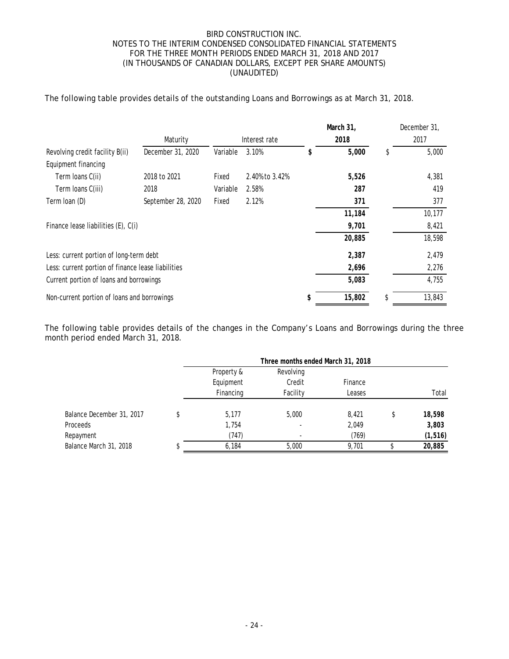### The following table provides details of the outstanding Loans and Borrowings as at March 31, 2018.

|                                                    |                    |               |                | March 31, |   | December 31, |
|----------------------------------------------------|--------------------|---------------|----------------|-----------|---|--------------|
|                                                    | Maturity           | Interest rate |                | 2018      |   | 2017         |
| Revolving credit facility B(ii)                    | December 31, 2020  | Variable      | 3.10%          | 5,000     | S | 5,000        |
| Equipment financing                                |                    |               |                |           |   |              |
| Term Ioans C(ii)                                   | 2018 to 2021       | Fixed         | 2.40% to 3.42% | 5,526     |   | 4,381        |
| Term Ioans C(iii)                                  | 2018               | Variable      | 2.58%          | 287       |   | 419          |
| Term loan (D)                                      | September 28, 2020 | Fixed         | 2.12%          | 371       |   | 377          |
|                                                    |                    |               |                | 11,184    |   | 10,177       |
| Finance lease liabilities (E), C(i)                |                    |               |                | 9,701     |   | 8,421        |
|                                                    |                    |               |                | 20,885    |   | 18,598       |
| Less: current portion of long-term debt            |                    |               |                | 2,387     |   | 2,479        |
| Less: current portion of finance lease liabilities |                    |               |                | 2,696     |   | 2,276        |
| Current portion of loans and borrowings            |                    |               |                | 5,083     |   | 4,755        |
| Non-current portion of loans and borrowings        |                    |               |                | 15,802    |   | 13,843       |

The following table provides details of the changes in the Company's Loans and Borrowings during the three month period ended March 31, 2018.

|                           | Three months ended March 31, 2018 |           |         |    |          |  |
|---------------------------|-----------------------------------|-----------|---------|----|----------|--|
|                           | Property &                        | Revolving |         |    |          |  |
|                           | Equipment                         | Credit    | Finance |    |          |  |
|                           | Financing                         | Facility  | Leases  |    | Total    |  |
| Balance December 31, 2017 | 5.177                             | 5,000     | 8.421   | \$ | 18,598   |  |
| Proceeds                  | 1,754                             |           | 2,049   |    | 3,803    |  |
| Repayment                 | (747)                             |           | (769)   |    | (1, 516) |  |
| Balance March 31, 2018    | 6,184                             | 5,000     | 9.701   |    | 20,885   |  |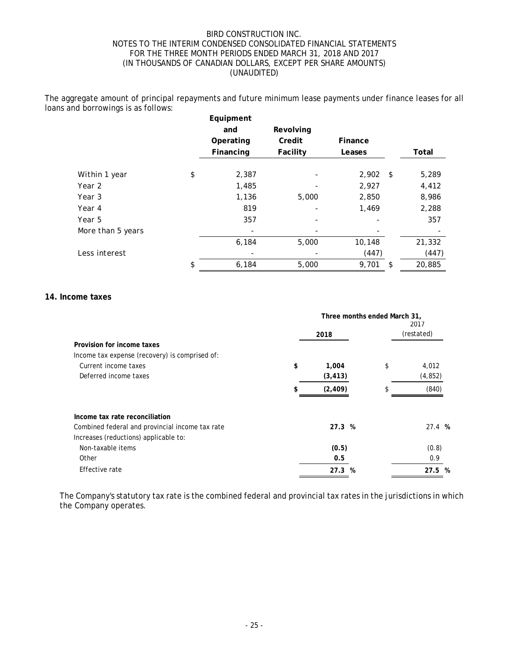The aggregate amount of principal repayments and future minimum lease payments under finance leases for all loans and borrowings is as follows:

|                   | Equipment<br>and<br>Operating | Revolving<br>Credit | Finance    |              |
|-------------------|-------------------------------|---------------------|------------|--------------|
|                   | Financing                     | Facility            | Leases     | Total        |
| Within 1 year     | \$<br>2,387                   |                     | $2,902$ \$ | 5,289        |
| Year 2            | 1,485                         |                     | 2,927      | 4,412        |
| Year 3            | 1,136                         | 5,000               | 2,850      | 8,986        |
| Year 4            | 819                           |                     | 1,469      | 2,288        |
| Year 5            | 357                           |                     |            | 357          |
| More than 5 years |                               |                     |            |              |
|                   | 6,184                         | 5,000               | 10,148     | 21,332       |
| Less interest     |                               |                     | (447)      | (447)        |
|                   | \$<br>6,184                   | 5,000               | 9,701      | \$<br>20,885 |

### **14. Income taxes**

|                                                                                          |    | Three months ended March 31, | 2017<br>(restated) |                   |
|------------------------------------------------------------------------------------------|----|------------------------------|--------------------|-------------------|
| Provision for income taxes<br>Income tax expense (recovery) is comprised of:             |    | 2018                         |                    |                   |
| Current income taxes<br>Deferred income taxes                                            | \$ | 1,004<br>(3, 413)            | \$                 | 4,012<br>(4, 852) |
|                                                                                          | \$ | (2, 409)                     | \$                 | (840)             |
| Income tax rate reconciliation                                                           |    |                              |                    |                   |
| Combined federal and provincial income tax rate<br>Increases (reductions) applicable to: |    | 27.3%                        |                    | 27.4%             |
| Non-taxable items                                                                        |    | (0.5)                        |                    | (0.8)             |
| Other                                                                                    |    | 0.5                          |                    | 0.9               |
| Effective rate                                                                           |    | 27.3 %                       |                    | 27.5 %            |

The Company's statutory tax rate is the combined federal and provincial tax rates in the jurisdictions in which the Company operates.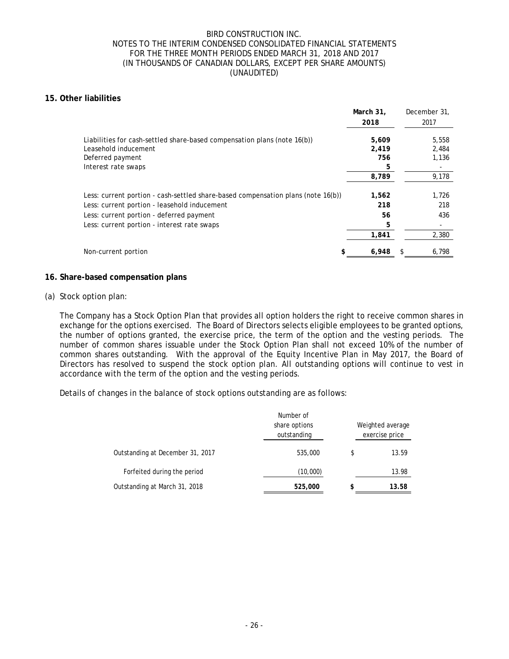## **15. Other liabilities**

|                                                                                  | March 31.<br>2018 | December 31.<br>2017 |
|----------------------------------------------------------------------------------|-------------------|----------------------|
| Liabilities for cash-settled share-based compensation plans (note 16(b))         | 5,609             | 5,558                |
| Leasehold inducement                                                             | 2,419             | 2,484                |
| Deferred payment                                                                 | 756               | 1,136                |
| Interest rate swaps                                                              | 5                 |                      |
|                                                                                  | 8,789             | 9,178                |
| Less: current portion - cash-settled share-based compensation plans (note 16(b)) | 1,562             | 1,726                |
| Less: current portion - leasehold inducement                                     | 218               | 218                  |
| Less: current portion - deferred payment                                         | 56                | 436                  |
| Less: current portion - interest rate swaps                                      | 5                 |                      |
|                                                                                  | 1,841             | 2,380                |
| Non-current portion                                                              | 6,948             | 6,798                |

### **16. Share-based compensation plans**

### (a) Stock option plan:

The Company has a Stock Option Plan that provides all option holders the right to receive common shares in exchange for the options exercised. The Board of Directors selects eligible employees to be granted options, the number of options granted, the exercise price, the term of the option and the vesting periods. The number of common shares issuable under the Stock Option Plan shall not exceed 10% of the number of common shares outstanding. With the approval of the Equity Incentive Plan in May 2017, the Board of Directors has resolved to suspend the stock option plan. All outstanding options will continue to vest in accordance with the term of the option and the vesting periods.

Details of changes in the balance of stock options outstanding are as follows:

|                                  | Number of<br>share options<br>outstanding | Weighted average<br>exercise price |       |  |
|----------------------------------|-------------------------------------------|------------------------------------|-------|--|
| Outstanding at December 31, 2017 | 535,000                                   | \$                                 | 13.59 |  |
| Forfeited during the period      | (10,000)                                  |                                    | 13.98 |  |
| Outstanding at March 31, 2018    | 525,000                                   | \$                                 | 13.58 |  |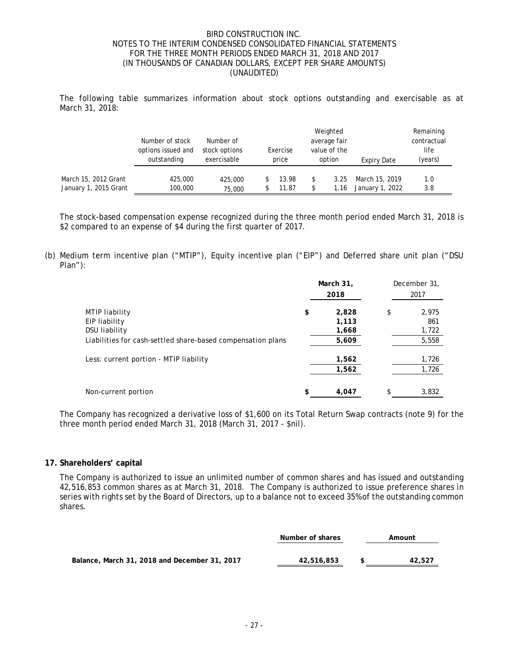The following table summarizes information about stock options outstanding and exercisable as at March 31, 2018:

|                       | Number of stock<br>options issued and<br>outstanding | Number of<br>stock options<br>exercisable | Exercise<br>price | Weighted<br>average fair<br>value of the<br>option | Expiry Date     | Remaining<br>contractual<br>life<br>(years) |  |
|-----------------------|------------------------------------------------------|-------------------------------------------|-------------------|----------------------------------------------------|-----------------|---------------------------------------------|--|
| March 15, 2012 Grant  | 425,000                                              | 425,000                                   | 13.98             | \$<br>3.25                                         | March 15, 2019  | 1.0                                         |  |
| January 1, 2015 Grant | 100,000                                              | 75,000                                    | 11.87             | \$<br>1.16                                         | January 1, 2022 | 3.8                                         |  |

The stock-based compensation expense recognized during the three month period ended March 31, 2018 is \$2 compared to an expense of \$4 during the first quarter of 2017.

(b) Medium term incentive plan ("MTIP"), Equity incentive plan ("EIP") and Deferred share unit plan ("DSU Plan"):

|                                                                                     | March 31,<br>2018 |                | December 31,<br>2017 |
|-------------------------------------------------------------------------------------|-------------------|----------------|----------------------|
| MTIP liability<br>EIP liability                                                     | \$                | 2,828<br>1,113 | \$<br>2,975<br>861   |
| <b>DSU liability</b><br>Liabilities for cash-settled share-based compensation plans |                   | 1,668<br>5,609 | 1,722<br>5,558       |
| Less: current portion - MTIP liability                                              |                   | 1,562<br>1,562 | 1,726<br>1,726       |
| Non-current portion                                                                 | \$                | 4,047          | \$<br>3,832          |

The Company has recognized a derivative loss of \$1,600 on its Total Return Swap contracts (note 9) for the three month period ended March 31, 2018 (March 31, 2017 - \$nil).

### **17. Shareholders' capital**

The Company is authorized to issue an unlimited number of common shares and has issued and outstanding 42,516,853 common shares as at March 31, 2018. The Company is authorized to issue preference shares in series with rights set by the Board of Directors, up to a balance not to exceed 35% of the outstanding common shares.

|                                               | Number of shares | Amount |  |
|-----------------------------------------------|------------------|--------|--|
|                                               |                  |        |  |
| Balance, March 31, 2018 and December 31, 2017 | 42,516,853       | 42,527 |  |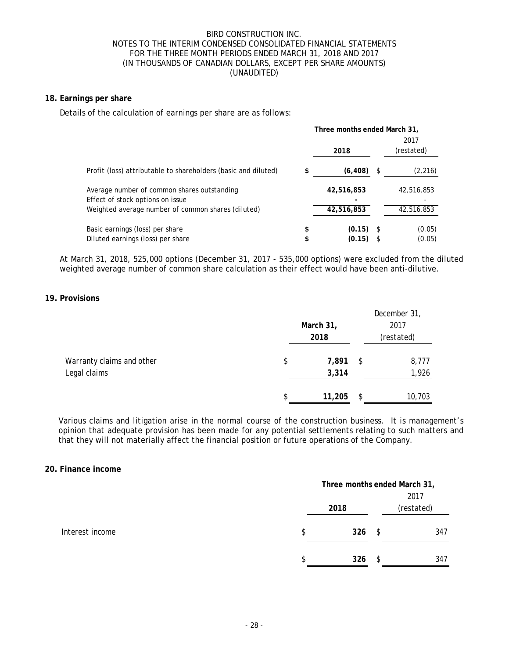# **18. Earnings per share**

Details of the calculation of earnings per share are as follows:

|                                                                                 |          | Three months ended March 31, |    |                    |  |
|---------------------------------------------------------------------------------|----------|------------------------------|----|--------------------|--|
|                                                                                 |          | 2018                         |    | 2017<br>(restated) |  |
| Profit (loss) attributable to shareholders (basic and diluted)                  | \$       | (6, 408)                     | \$ | (2, 216)           |  |
| Average number of common shares outstanding<br>Effect of stock options on issue |          | 42,516,853                   |    | 42,516,853         |  |
| Weighted average number of common shares (diluted)                              |          | 42,516,853                   |    | 42,516,853         |  |
| Basic earnings (loss) per share<br>Diluted earnings (loss) per share            | \$<br>\$ | (0.15)<br>(0.15)             | -S | (0.05)<br>(0.05)   |  |

At March 31, 2018, 525,000 options (December 31, 2017 - 535,000 options) were excluded from the diluted weighted average number of common share calculation as their effect would have been anti-dilutive.

## **19. Provisions**

|                           | March 31,<br>2017<br>2018 |        |      | December 31,<br>(restated) |
|---------------------------|---------------------------|--------|------|----------------------------|
| Warranty claims and other | \$                        | 7,891  | -\$  | 8,777                      |
| Legal claims              |                           | 3,314  |      | 1,926                      |
|                           | \$                        | 11,205 | - \$ | 10,703                     |

Various claims and litigation arise in the normal course of the construction business. It is management's opinion that adequate provision has been made for any potential settlements relating to such matters and that they will not materially affect the financial position or future operations of the Company.

### **20. Finance income**

|                 |     | Three months ended March 31, |      |            |  |
|-----------------|-----|------------------------------|------|------------|--|
|                 |     |                              |      | 2017       |  |
|                 |     | 2018                         |      | (restated) |  |
| Interest income | \$  | 326                          | - \$ | 347        |  |
|                 | \$. | 326                          | S    | 347        |  |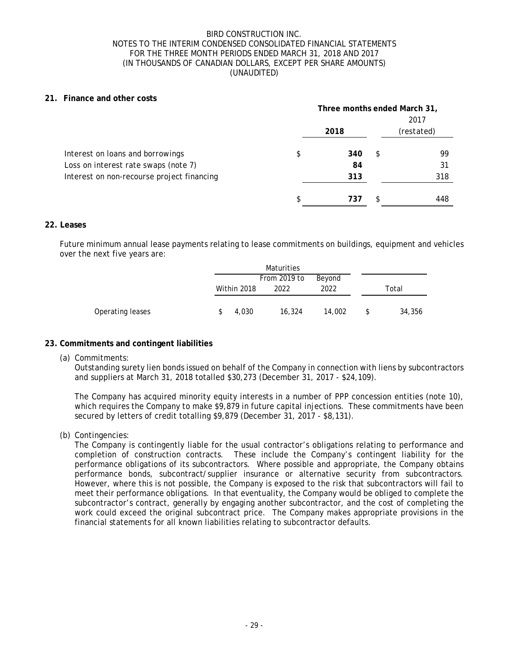## **21. Finance and other costs**

|                                            | Three months ended March 31,<br>2017 |      |     |            |
|--------------------------------------------|--------------------------------------|------|-----|------------|
|                                            |                                      | 2018 |     | (restated) |
| Interest on loans and borrowings           | \$                                   | 340  | \$  | 99         |
| Loss on interest rate swaps (note 7)       |                                      | 84   |     | 31         |
| Interest on non-recourse project financing |                                      | 313  |     | 318        |
|                                            | \$                                   | 737  | \$. | 448        |

## **22. Leases**

Future minimum annual lease payments relating to lease commitments on buildings, equipment and vehicles over the next five years are:

|                  |             | Maturities   |        |     |        |
|------------------|-------------|--------------|--------|-----|--------|
|                  |             | From 2019 to | Beyond |     |        |
|                  | Within 2018 | 2022         | 2022   |     | Total  |
|                  |             |              |        |     |        |
| Operating leases | 4,030       | 16,324       | 14,002 | \$. | 34,356 |

## **23. Commitments and contingent liabilities**

(a) Commitments:

Outstanding surety lien bonds issued on behalf of the Company in connection with liens by subcontractors and suppliers at March 31, 2018 totalled \$30,273 (December 31, 2017 - \$24,109).

The Company has acquired minority equity interests in a number of PPP concession entities (note 10), which requires the Company to make \$9,879 in future capital injections. These commitments have been secured by letters of credit totalling \$9,879 (December 31, 2017 - \$8,131).

(b) Contingencies:

The Company is contingently liable for the usual contractor's obligations relating to performance and completion of construction contracts. These include the Company's contingent liability for the performance obligations of its subcontractors. Where possible and appropriate, the Company obtains performance bonds, subcontract/supplier insurance or alternative security from subcontractors. However, where this is not possible, the Company is exposed to the risk that subcontractors will fail to meet their performance obligations. In that eventuality, the Company would be obliged to complete the subcontractor's contract, generally by engaging another subcontractor, and the cost of completing the work could exceed the original subcontract price. The Company makes appropriate provisions in the financial statements for all known liabilities relating to subcontractor defaults.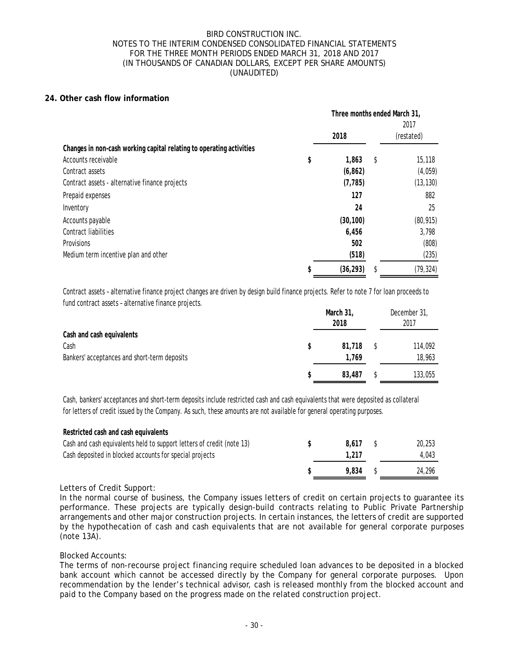## **24. Other cash flow information**

|                                                                      | Three months ended March 31,<br>2017 |    |            |
|----------------------------------------------------------------------|--------------------------------------|----|------------|
|                                                                      | 2018                                 |    | (restated) |
| Changes in non-cash working capital relating to operating activities |                                      |    |            |
| Accounts receivable                                                  | \$<br>1,863                          | \$ | 15,118     |
| Contract assets                                                      | (6, 862)                             |    | (4,059)    |
| Contract assets - alternative finance projects                       | (7, 785)                             |    | (13, 130)  |
| Prepaid expenses                                                     | 127                                  |    | 882        |
| Inventory                                                            | 24                                   |    | 25         |
| Accounts payable                                                     | (30, 100)                            |    | (80, 915)  |
| <b>Contract liabilities</b>                                          | 6,456                                |    | 3,798      |
| Provisions                                                           | 502                                  |    | (808)      |
| Medium term incentive plan and other                                 | (518)                                |    | (235)      |
|                                                                      | \$<br>(36, 293)                      | S  | (79, 324)  |

Contract assets – alternative finance project changes are driven by design build finance projects. Refer to note 7 for loan proceeds to fund contract assets – alternative finance projects.

|                                              | March 31,<br>2018 | December 31,<br>2017 |
|----------------------------------------------|-------------------|----------------------|
| Cash and cash equivalents<br>Cash            | 81,718            | 114,092              |
| Bankers' acceptances and short-term deposits | 1.769             | 18,963               |
|                                              | 83,487            | 133,055              |

Cash, bankers' acceptances and short-term deposits include restricted cash and cash equivalents that were deposited as collateral for letters of credit issued by the Company. As such, these amounts are not available for general operating purposes.

| Restricted cash and cash equivalents                                  |       |        |
|-----------------------------------------------------------------------|-------|--------|
| Cash and cash equivalents held to support letters of credit (note 13) | 8.617 | 20,253 |
| Cash deposited in blocked accounts for special projects               | 1.217 | 4.043  |
|                                                                       | 9.834 | 24,296 |

## Letters of Credit Support:

**Restricted cash and cash equivalents**

In the normal course of business, the Company issues letters of credit on certain projects to guarantee its performance. These projects are typically design-build contracts relating to Public Private Partnership arrangements and other major construction projects. In certain instances, the letters of credit are supported by the hypothecation of cash and cash equivalents that are not available for general corporate purposes (note 13A).

### Blocked Accounts:

The terms of non-recourse project financing require scheduled loan advances to be deposited in a blocked bank account which cannot be accessed directly by the Company for general corporate purposes. Upon recommendation by the lender's technical advisor, cash is released monthly from the blocked account and paid to the Company based on the progress made on the related construction project.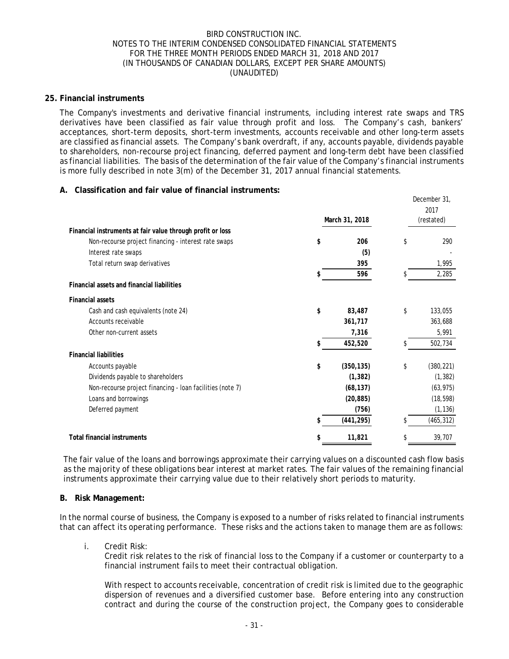### **25. Financial instruments**

The Company's investments and derivative financial instruments, including interest rate swaps and TRS derivatives have been classified as fair value through profit and loss. The Company's cash, bankers' acceptances, short-term deposits, short-term investments, accounts receivable and other long-term assets are classified as financial assets. The Company's bank overdraft, if any, accounts payable, dividends payable to shareholders, non-recourse project financing, deferred payment and long-term debt have been classified as financial liabilities. The basis of the determination of the fair value of the Company's financial instruments is more fully described in note 3(m) of the December 31, 2017 annual financial statements.

## **A. Classification and fair value of financial instruments:**

|                                                            |    |                | December 31,<br>2017 |
|------------------------------------------------------------|----|----------------|----------------------|
|                                                            |    | March 31, 2018 | (restated)           |
| Financial instruments at fair value through profit or loss |    |                |                      |
| Non-recourse project financing - interest rate swaps       | \$ | 206            | \$<br>290            |
| Interest rate swaps                                        |    | (5)            |                      |
| Total return swap derivatives                              |    | 395            | 1,995                |
|                                                            |    | 596            | 2,285                |
| <b>Financial assets and financial liabilities</b>          |    |                |                      |
| <b>Financial assets</b>                                    |    |                |                      |
| Cash and cash equivalents (note 24)                        | \$ | 83,487         | \$<br>133,055        |
| Accounts receivable                                        |    | 361,717        | 363,688              |
| Other non-current assets                                   |    | 7,316          | 5,991                |
|                                                            |    | 452,520        | 502,734              |
| <b>Financial liabilities</b>                               |    |                |                      |
| Accounts payable                                           | \$ | (350, 135)     | \$<br>(380, 221)     |
| Dividends payable to shareholders                          |    | (1, 382)       | (1, 382)             |
| Non-recourse project financing - loan facilities (note 7)  |    | (68, 137)      | (63, 975)            |
| Loans and borrowings                                       |    | (20, 885)      | (18, 598)            |
| Deferred payment                                           |    | (756)          | (1, 136)             |
|                                                            | S  | (441, 295)     | (465, 312)           |
| <b>Total financial instruments</b>                         |    | 11,821         | 39,707               |

The fair value of the loans and borrowings approximate their carrying values on a discounted cash flow basis as the majority of these obligations bear interest at market rates. The fair values of the remaining financial instruments approximate their carrying value due to their relatively short periods to maturity.

### **B. Risk Management:**

In the normal course of business, the Company is exposed to a number of risks related to financial instruments that can affect its operating performance. These risks and the actions taken to manage them are as follows:

### i. Credit Risk:

Credit risk relates to the risk of financial loss to the Company if a customer or counterparty to a financial instrument fails to meet their contractual obligation.

With respect to accounts receivable, concentration of credit risk is limited due to the geographic dispersion of revenues and a diversified customer base. Before entering into any construction contract and during the course of the construction project, the Company goes to considerable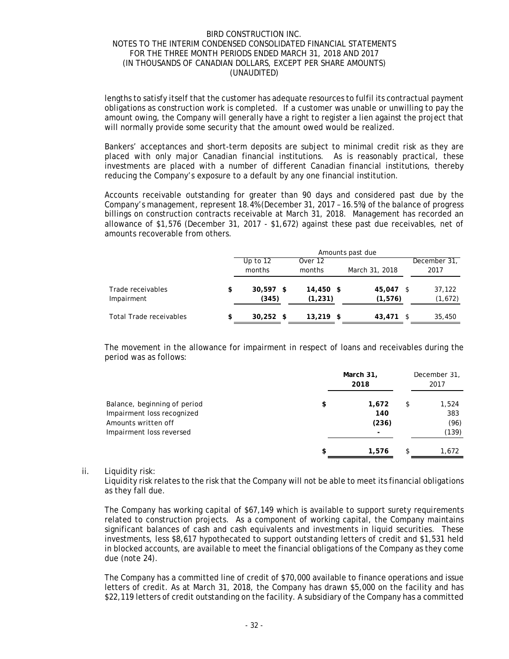lengths to satisfy itself that the customer has adequate resources to fulfil its contractual payment obligations as construction work is completed. If a customer was unable or unwilling to pay the amount owing, the Company will generally have a right to register a lien against the project that will normally provide some security that the amount owed would be realized.

Bankers' acceptances and short-term deposits are subject to minimal credit risk as they are placed with only major Canadian financial institutions. As is reasonably practical, these investments are placed with a number of different Canadian financial institutions, thereby reducing the Company's exposure to a default by any one financial institution.

Accounts receivable outstanding for greater than 90 days and considered past due by the Company's management, represent 18.4% (December 31, 2017 – 16.5%) of the balance of progress billings on construction contracts receivable at March 31, 2018. Management has recorded an allowance of \$1,576 (December 31, 2017 - \$1,672) against these past due receivables, net of amounts recoverable from others.

|                                 | Amounts past due           |                       |                       |                      |  |
|---------------------------------|----------------------------|-----------------------|-----------------------|----------------------|--|
|                                 | Up to $12$<br>months       | Over 12<br>months     | March 31, 2018        | December 31,<br>2017 |  |
| Trade receivables<br>Impairment | \$<br>$30,597$ \$<br>(345) | 14,450 \$<br>(1, 231) | 45.047 \$<br>(1, 576) | 37,122<br>(1,672)    |  |
| <b>Total Trade receivables</b>  | \$<br>$30,252$ \$          | $13,219$ \$           | 43,471                | 35,450               |  |

The movement in the allowance for impairment in respect of loans and receivables during the period was as follows:

|                                                                                                               | March 31,<br>2018           | December 31,<br>2017                |
|---------------------------------------------------------------------------------------------------------------|-----------------------------|-------------------------------------|
| Balance, beginning of period<br>Impairment loss recognized<br>Amounts written off<br>Impairment loss reversed | \$<br>1,672<br>140<br>(236) | \$<br>1,524<br>383<br>(96)<br>(139) |
|                                                                                                               | \$<br>1,576                 | \$<br>1,672                         |

ii. Liquidity risk:

Liquidity risk relates to the risk that the Company will not be able to meet its financial obligations as they fall due.

The Company has working capital of \$67,149 which is available to support surety requirements related to construction projects. As a component of working capital, the Company maintains significant balances of cash and cash equivalents and investments in liquid securities. These investments, less \$8,617 hypothecated to support outstanding letters of credit and \$1,531 held in blocked accounts, are available to meet the financial obligations of the Company as they come due (note 24).

The Company has a committed line of credit of \$70,000 available to finance operations and issue letters of credit. As at March 31, 2018, the Company has drawn \$5,000 on the facility and has \$22,119 letters of credit outstanding on the facility. A subsidiary of the Company has a committed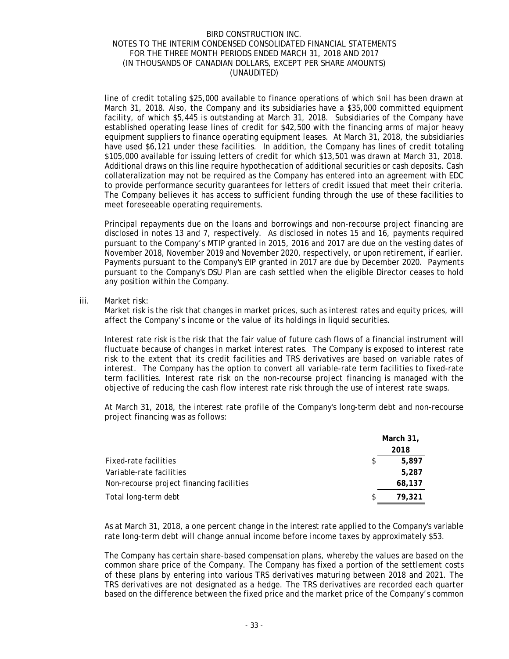line of credit totaling \$25,000 available to finance operations of which \$nil has been drawn at March 31, 2018. Also, the Company and its subsidiaries have a \$35,000 committed equipment facility, of which \$5,445 is outstanding at March 31, 2018. Subsidiaries of the Company have established operating lease lines of credit for \$42,500 with the financing arms of major heavy equipment suppliers to finance operating equipment leases. At March 31, 2018, the subsidiaries have used \$6,121 under these facilities. In addition, the Company has lines of credit totaling \$105,000 available for issuing letters of credit for which \$13,501 was drawn at March 31, 2018. Additional draws on this line require hypothecation of additional securities or cash deposits. Cash collateralization may not be required as the Company has entered into an agreement with EDC to provide performance security guarantees for letters of credit issued that meet their criteria. The Company believes it has access to sufficient funding through the use of these facilities to meet foreseeable operating requirements.

Principal repayments due on the loans and borrowings and non-recourse project financing are disclosed in notes 13 and 7, respectively. As disclosed in notes 15 and 16, payments required pursuant to the Company's MTIP granted in 2015, 2016 and 2017 are due on the vesting dates of November 2018, November 2019 and November 2020, respectively, or upon retirement, if earlier. Payments pursuant to the Company's EIP granted in 2017 are due by December 2020. Payments pursuant to the Company's DSU Plan are cash settled when the eligible Director ceases to hold any position within the Company.

### iii. Market risk:

Market risk is the risk that changes in market prices, such as interest rates and equity prices, will affect the Company's income or the value of its holdings in liquid securities.

Interest rate risk is the risk that the fair value of future cash flows of a financial instrument will fluctuate because of changes in market interest rates. The Company is exposed to interest rate risk to the extent that its credit facilities and TRS derivatives are based on variable rates of interest. The Company has the option to convert all variable-rate term facilities to fixed-rate term facilities. Interest rate risk on the non-recourse project financing is managed with the objective of reducing the cash flow interest rate risk through the use of interest rate swaps.

At March 31, 2018, the interest rate profile of the Company's long-term debt and non-recourse project financing was as follows:

|                                           | March 31,    |  |
|-------------------------------------------|--------------|--|
|                                           | 2018         |  |
| Fixed-rate facilities                     | \$<br>5.897  |  |
| Variable-rate facilities                  | 5,287        |  |
| Non-recourse project financing facilities | 68,137       |  |
| Total long-term debt                      | \$<br>79,321 |  |

As at March 31, 2018, a one percent change in the interest rate applied to the Company's variable rate long-term debt will change annual income before income taxes by approximately \$53.

The Company has certain share-based compensation plans, whereby the values are based on the common share price of the Company. The Company has fixed a portion of the settlement costs of these plans by entering into various TRS derivatives maturing between 2018 and 2021. The TRS derivatives are not designated as a hedge. The TRS derivatives are recorded each quarter based on the difference between the fixed price and the market price of the Company's common